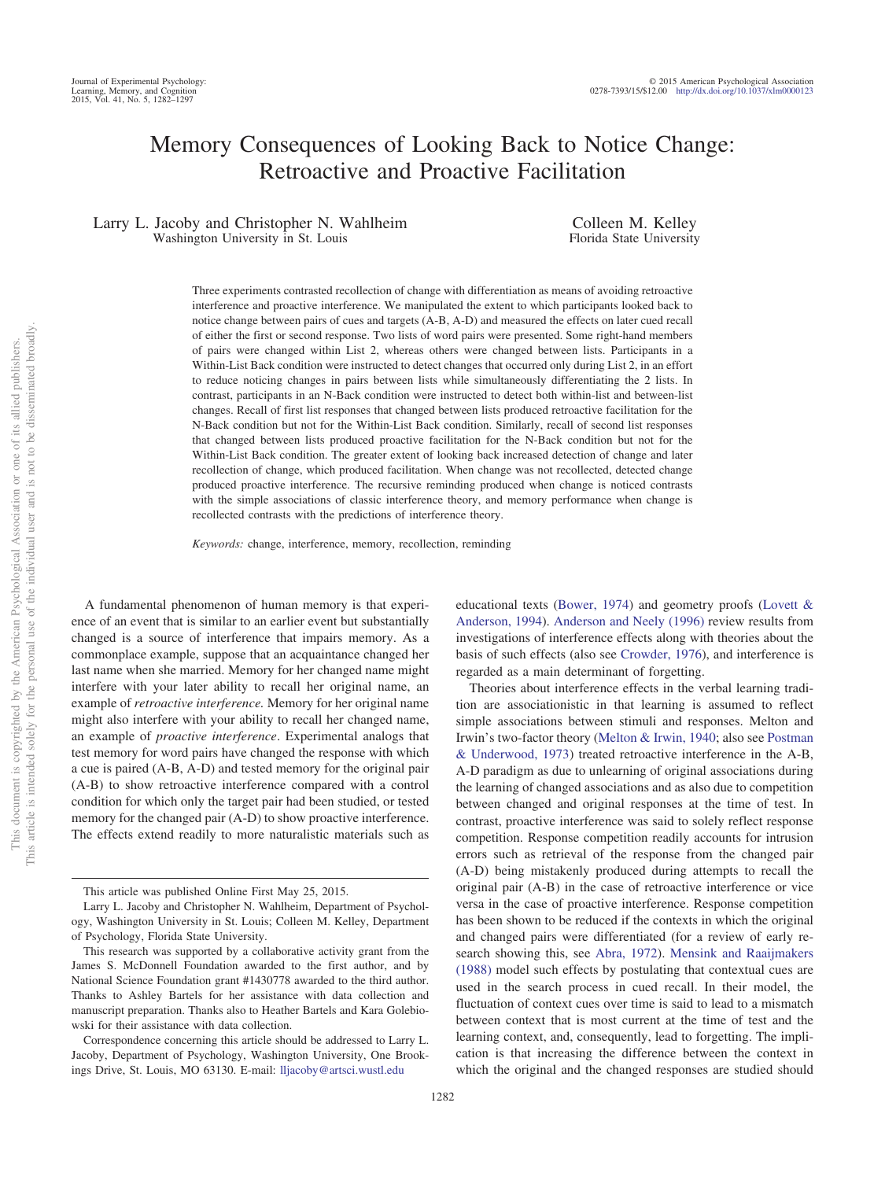# Memory Consequences of Looking Back to Notice Change: Retroactive and Proactive Facilitation

## Larry L. Jacoby and Christopher N. Wahlheim Washington University in St. Louis

Colleen M. Kelley Florida State University

Three experiments contrasted recollection of change with differentiation as means of avoiding retroactive interference and proactive interference. We manipulated the extent to which participants looked back to notice change between pairs of cues and targets (A-B, A-D) and measured the effects on later cued recall of either the first or second response. Two lists of word pairs were presented. Some right-hand members of pairs were changed within List 2, whereas others were changed between lists. Participants in a Within-List Back condition were instructed to detect changes that occurred only during List 2, in an effort to reduce noticing changes in pairs between lists while simultaneously differentiating the 2 lists. In contrast, participants in an N-Back condition were instructed to detect both within-list and between-list changes. Recall of first list responses that changed between lists produced retroactive facilitation for the N-Back condition but not for the Within-List Back condition. Similarly, recall of second list responses that changed between lists produced proactive facilitation for the N-Back condition but not for the Within-List Back condition. The greater extent of looking back increased detection of change and later recollection of change, which produced facilitation. When change was not recollected, detected change produced proactive interference. The recursive reminding produced when change is noticed contrasts with the simple associations of classic interference theory, and memory performance when change is recollected contrasts with the predictions of interference theory.

*Keywords:* change, interference, memory, recollection, reminding

A fundamental phenomenon of human memory is that experience of an event that is similar to an earlier event but substantially changed is a source of interference that impairs memory. As a commonplace example, suppose that an acquaintance changed her last name when she married. Memory for her changed name might interfere with your later ability to recall her original name, an example of *retroactive interference.* Memory for her original name might also interfere with your ability to recall her changed name, an example of *proactive interference*. Experimental analogs that test memory for word pairs have changed the response with which a cue is paired (A-B, A-D) and tested memory for the original pair (A-B) to show retroactive interference compared with a control condition for which only the target pair had been studied, or tested memory for the changed pair (A-D) to show proactive interference. The effects extend readily to more naturalistic materials such as educational texts [\(Bower, 1974\)](#page-14-0) and geometry proofs [\(Lovett &](#page-15-0) [Anderson, 1994\)](#page-15-0). [Anderson and Neely \(1996\)](#page-14-1) review results from investigations of interference effects along with theories about the basis of such effects (also see [Crowder, 1976\)](#page-14-2), and interference is regarded as a main determinant of forgetting.

Theories about interference effects in the verbal learning tradition are associationistic in that learning is assumed to reflect simple associations between stimuli and responses. Melton and Irwin's two-factor theory [\(Melton & Irwin, 1940;](#page-15-1) also see [Postman](#page-15-2) [& Underwood, 1973\)](#page-15-2) treated retroactive interference in the A-B, A-D paradigm as due to unlearning of original associations during the learning of changed associations and as also due to competition between changed and original responses at the time of test. In contrast, proactive interference was said to solely reflect response competition. Response competition readily accounts for intrusion errors such as retrieval of the response from the changed pair (A-D) being mistakenly produced during attempts to recall the original pair (A-B) in the case of retroactive interference or vice versa in the case of proactive interference. Response competition has been shown to be reduced if the contexts in which the original and changed pairs were differentiated (for a review of early research showing this, see [Abra, 1972\)](#page-14-3). [Mensink and Raaijmakers](#page-15-3) [\(1988\)](#page-15-3) model such effects by postulating that contextual cues are used in the search process in cued recall. In their model, the fluctuation of context cues over time is said to lead to a mismatch between context that is most current at the time of test and the learning context, and, consequently, lead to forgetting. The implication is that increasing the difference between the context in which the original and the changed responses are studied should

This article was published Online First May 25, 2015.

Larry L. Jacoby and Christopher N. Wahlheim, Department of Psychology, Washington University in St. Louis; Colleen M. Kelley, Department of Psychology, Florida State University.

This research was supported by a collaborative activity grant from the James S. McDonnell Foundation awarded to the first author, and by National Science Foundation grant #1430778 awarded to the third author. Thanks to Ashley Bartels for her assistance with data collection and manuscript preparation. Thanks also to Heather Bartels and Kara Golebiowski for their assistance with data collection.

Correspondence concerning this article should be addressed to Larry L. Jacoby, Department of Psychology, Washington University, One Brookings Drive, St. Louis, MO 63130. E-mail: [lljacoby@artsci.wustl.edu](mailto:lljacoby@artsci.wustl.edu)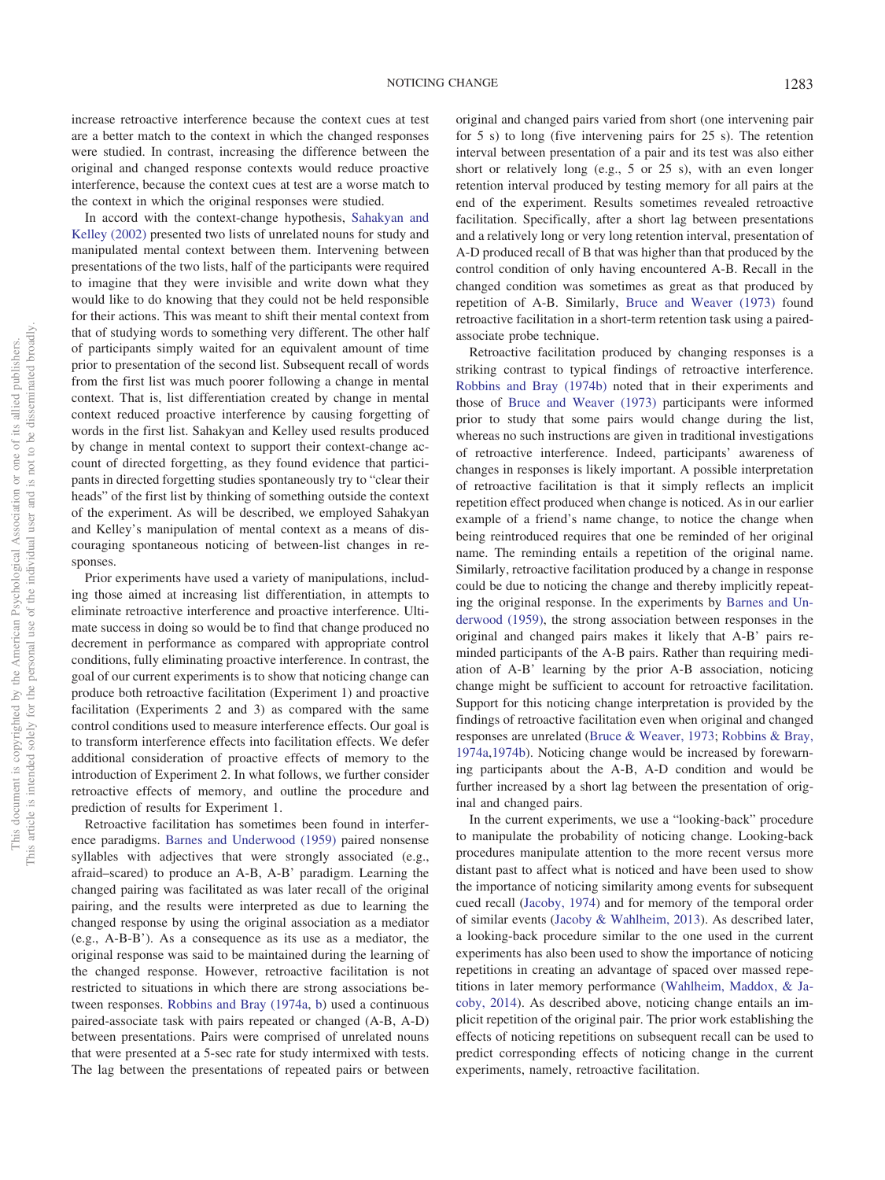increase retroactive interference because the context cues at test are a better match to the context in which the changed responses were studied. In contrast, increasing the difference between the original and changed response contexts would reduce proactive interference, because the context cues at test are a worse match to the context in which the original responses were studied.

In accord with the context-change hypothesis, [Sahakyan and](#page-15-4) [Kelley \(2002\)](#page-15-4) presented two lists of unrelated nouns for study and manipulated mental context between them. Intervening between presentations of the two lists, half of the participants were required to imagine that they were invisible and write down what they would like to do knowing that they could not be held responsible for their actions. This was meant to shift their mental context from that of studying words to something very different. The other half of participants simply waited for an equivalent amount of time prior to presentation of the second list. Subsequent recall of words from the first list was much poorer following a change in mental context. That is, list differentiation created by change in mental context reduced proactive interference by causing forgetting of words in the first list. Sahakyan and Kelley used results produced by change in mental context to support their context-change account of directed forgetting, as they found evidence that participants in directed forgetting studies spontaneously try to "clear their heads" of the first list by thinking of something outside the context of the experiment. As will be described, we employed Sahakyan and Kelley's manipulation of mental context as a means of discouraging spontaneous noticing of between-list changes in responses.

Prior experiments have used a variety of manipulations, including those aimed at increasing list differentiation, in attempts to eliminate retroactive interference and proactive interference. Ultimate success in doing so would be to find that change produced no decrement in performance as compared with appropriate control conditions, fully eliminating proactive interference. In contrast, the goal of our current experiments is to show that noticing change can produce both retroactive facilitation (Experiment 1) and proactive facilitation (Experiments 2 and 3) as compared with the same control conditions used to measure interference effects. Our goal is to transform interference effects into facilitation effects. We defer additional consideration of proactive effects of memory to the introduction of Experiment 2. In what follows, we further consider retroactive effects of memory, and outline the procedure and prediction of results for Experiment 1.

Retroactive facilitation has sometimes been found in interference paradigms. [Barnes and Underwood \(1959\)](#page-14-4) paired nonsense syllables with adjectives that were strongly associated (e.g., afraid–scared) to produce an A-B, A-B' paradigm. Learning the changed pairing was facilitated as was later recall of the original pairing, and the results were interpreted as due to learning the changed response by using the original association as a mediator (e.g., A-B-B'). As a consequence as its use as a mediator, the original response was said to be maintained during the learning of the changed response. However, retroactive facilitation is not restricted to situations in which there are strong associations between responses. [Robbins and Bray \(1974a,](#page-15-5) [b\)](#page-15-6) used a continuous paired-associate task with pairs repeated or changed (A-B, A-D) between presentations. Pairs were comprised of unrelated nouns that were presented at a 5-sec rate for study intermixed with tests. The lag between the presentations of repeated pairs or between original and changed pairs varied from short (one intervening pair for 5 s) to long (five intervening pairs for 25 s). The retention interval between presentation of a pair and its test was also either short or relatively long (e.g., 5 or 25 s), with an even longer retention interval produced by testing memory for all pairs at the end of the experiment. Results sometimes revealed retroactive facilitation. Specifically, after a short lag between presentations and a relatively long or very long retention interval, presentation of A-D produced recall of B that was higher than that produced by the control condition of only having encountered A-B. Recall in the changed condition was sometimes as great as that produced by repetition of A-B. Similarly, [Bruce and Weaver \(1973\)](#page-14-5) found retroactive facilitation in a short-term retention task using a pairedassociate probe technique.

Retroactive facilitation produced by changing responses is a striking contrast to typical findings of retroactive interference. [Robbins and Bray \(1974b\)](#page-15-6) noted that in their experiments and those of [Bruce and Weaver \(1973\)](#page-14-5) participants were informed prior to study that some pairs would change during the list, whereas no such instructions are given in traditional investigations of retroactive interference. Indeed, participants' awareness of changes in responses is likely important. A possible interpretation of retroactive facilitation is that it simply reflects an implicit repetition effect produced when change is noticed. As in our earlier example of a friend's name change, to notice the change when being reintroduced requires that one be reminded of her original name. The reminding entails a repetition of the original name. Similarly, retroactive facilitation produced by a change in response could be due to noticing the change and thereby implicitly repeating the original response. In the experiments by [Barnes and Un](#page-14-4)[derwood \(1959\),](#page-14-4) the strong association between responses in the original and changed pairs makes it likely that A-B' pairs reminded participants of the A-B pairs. Rather than requiring mediation of A-B' learning by the prior A-B association, noticing change might be sufficient to account for retroactive facilitation. Support for this noticing change interpretation is provided by the findings of retroactive facilitation even when original and changed responses are unrelated [\(Bruce & Weaver, 1973;](#page-14-5) [Robbins & Bray,](#page-15-5) [1974a](#page-15-5)[,1974b\)](#page-15-6). Noticing change would be increased by forewarning participants about the A-B, A-D condition and would be further increased by a short lag between the presentation of original and changed pairs.

In the current experiments, we use a "looking-back" procedure to manipulate the probability of noticing change. Looking-back procedures manipulate attention to the more recent versus more distant past to affect what is noticed and have been used to show the importance of noticing similarity among events for subsequent cued recall [\(Jacoby, 1974\)](#page-14-6) and for memory of the temporal order of similar events [\(Jacoby & Wahlheim, 2013\)](#page-14-7). As described later, a looking-back procedure similar to the one used in the current experiments has also been used to show the importance of noticing repetitions in creating an advantage of spaced over massed repetitions in later memory performance [\(Wahlheim, Maddox, & Ja](#page-15-7)[coby, 2014\)](#page-15-7). As described above, noticing change entails an implicit repetition of the original pair. The prior work establishing the effects of noticing repetitions on subsequent recall can be used to predict corresponding effects of noticing change in the current experiments, namely, retroactive facilitation.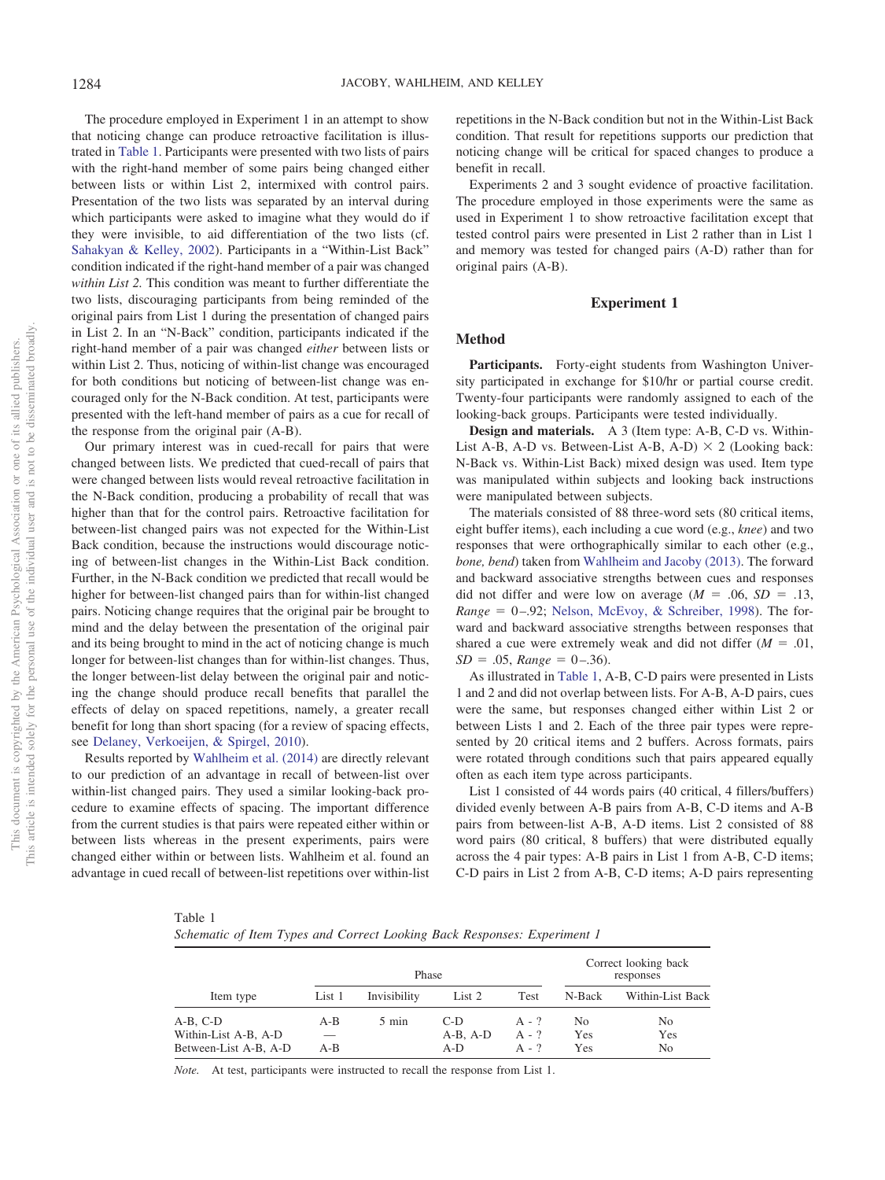The procedure employed in Experiment 1 in an attempt to show that noticing change can produce retroactive facilitation is illustrated in [Table 1.](#page-2-0) Participants were presented with two lists of pairs with the right-hand member of some pairs being changed either between lists or within List 2, intermixed with control pairs. Presentation of the two lists was separated by an interval during which participants were asked to imagine what they would do if they were invisible, to aid differentiation of the two lists (cf. [Sahakyan & Kelley, 2002\)](#page-15-4). Participants in a "Within-List Back" condition indicated if the right-hand member of a pair was changed *within List 2.* This condition was meant to further differentiate the two lists, discouraging participants from being reminded of the original pairs from List 1 during the presentation of changed pairs in List 2. In an "N-Back" condition, participants indicated if the right-hand member of a pair was changed *either* between lists or within List 2. Thus, noticing of within-list change was encouraged for both conditions but noticing of between-list change was encouraged only for the N-Back condition. At test, participants were presented with the left-hand member of pairs as a cue for recall of the response from the original pair (A-B).

Our primary interest was in cued-recall for pairs that were changed between lists. We predicted that cued-recall of pairs that were changed between lists would reveal retroactive facilitation in the N-Back condition, producing a probability of recall that was higher than that for the control pairs. Retroactive facilitation for between-list changed pairs was not expected for the Within-List Back condition, because the instructions would discourage noticing of between-list changes in the Within-List Back condition. Further, in the N-Back condition we predicted that recall would be higher for between-list changed pairs than for within-list changed pairs. Noticing change requires that the original pair be brought to mind and the delay between the presentation of the original pair and its being brought to mind in the act of noticing change is much longer for between-list changes than for within-list changes. Thus, the longer between-list delay between the original pair and noticing the change should produce recall benefits that parallel the effects of delay on spaced repetitions, namely, a greater recall benefit for long than short spacing (for a review of spacing effects, see [Delaney, Verkoeijen, & Spirgel, 2010\)](#page-14-8).

Results reported by [Wahlheim et al. \(2014\)](#page-15-7) are directly relevant to our prediction of an advantage in recall of between-list over within-list changed pairs. They used a similar looking-back procedure to examine effects of spacing. The important difference from the current studies is that pairs were repeated either within or between lists whereas in the present experiments, pairs were changed either within or between lists. Wahlheim et al. found an advantage in cued recall of between-list repetitions over within-list repetitions in the N-Back condition but not in the Within-List Back condition. That result for repetitions supports our prediction that noticing change will be critical for spaced changes to produce a benefit in recall.

Experiments 2 and 3 sought evidence of proactive facilitation. The procedure employed in those experiments were the same as used in Experiment 1 to show retroactive facilitation except that tested control pairs were presented in List 2 rather than in List 1 and memory was tested for changed pairs (A-D) rather than for original pairs (A-B).

#### **Experiment 1**

#### **Method**

**Participants.** Forty-eight students from Washington University participated in exchange for \$10/hr or partial course credit. Twenty-four participants were randomly assigned to each of the looking-back groups. Participants were tested individually.

**Design and materials.** A 3 (Item type: A-B, C-D vs. Within-List A-B, A-D vs. Between-List A-B, A-D)  $\times$  2 (Looking back: N-Back vs. Within-List Back) mixed design was used. Item type was manipulated within subjects and looking back instructions were manipulated between subjects.

The materials consisted of 88 three-word sets (80 critical items, eight buffer items), each including a cue word (e.g., *knee*) and two responses that were orthographically similar to each other (e.g., *bone, bend*) taken from [Wahlheim and Jacoby \(2013\).](#page-15-8) The forward and backward associative strengths between cues and responses did not differ and were low on average  $(M = .06, SD = .13,$  $Range = 0 - .92$ ; [Nelson, McEvoy, & Schreiber, 1998\)](#page-15-9). The forward and backward associative strengths between responses that shared a cue were extremely weak and did not differ  $(M = .01, )$  $SD = .05$ , *Range* = 0-.36).

As illustrated in [Table 1,](#page-2-0) A-B, C-D pairs were presented in Lists 1 and 2 and did not overlap between lists. For A-B, A-D pairs, cues were the same, but responses changed either within List 2 or between Lists 1 and 2. Each of the three pair types were represented by 20 critical items and 2 buffers. Across formats, pairs were rotated through conditions such that pairs appeared equally often as each item type across participants.

List 1 consisted of 44 words pairs (40 critical, 4 fillers/buffers) divided evenly between A-B pairs from A-B, C-D items and A-B pairs from between-list A-B, A-D items. List 2 consisted of 88 word pairs (80 critical, 8 buffers) that were distributed equally across the 4 pair types: A-B pairs in List 1 from A-B, C-D items; C-D pairs in List 2 from A-B, C-D items; A-D pairs representing

<span id="page-2-0"></span>Table 1

*Schematic of Item Types and Correct Looking Back Responses: Experiment 1*

| Phase                                                       |                |                 |                              |                               | Correct looking back<br>responses |                  |  |  |
|-------------------------------------------------------------|----------------|-----------------|------------------------------|-------------------------------|-----------------------------------|------------------|--|--|
| Item type                                                   | List 1         | Invisibility    | List 2                       | Test                          | N-Back                            | Within-List Back |  |  |
| $A-B, C-D$<br>Within-List A-B, A-D<br>Between-List A-B, A-D | $A-B$<br>$A-B$ | $5 \text{ min}$ | $C-D$<br>$A-B, A-D$<br>$A-D$ | $A - 2$<br>$A - ?$<br>$A - 2$ | No<br><b>Yes</b><br><b>Yes</b>    | No<br>Yes<br>No  |  |  |

*Note.* At test, participants were instructed to recall the response from List 1.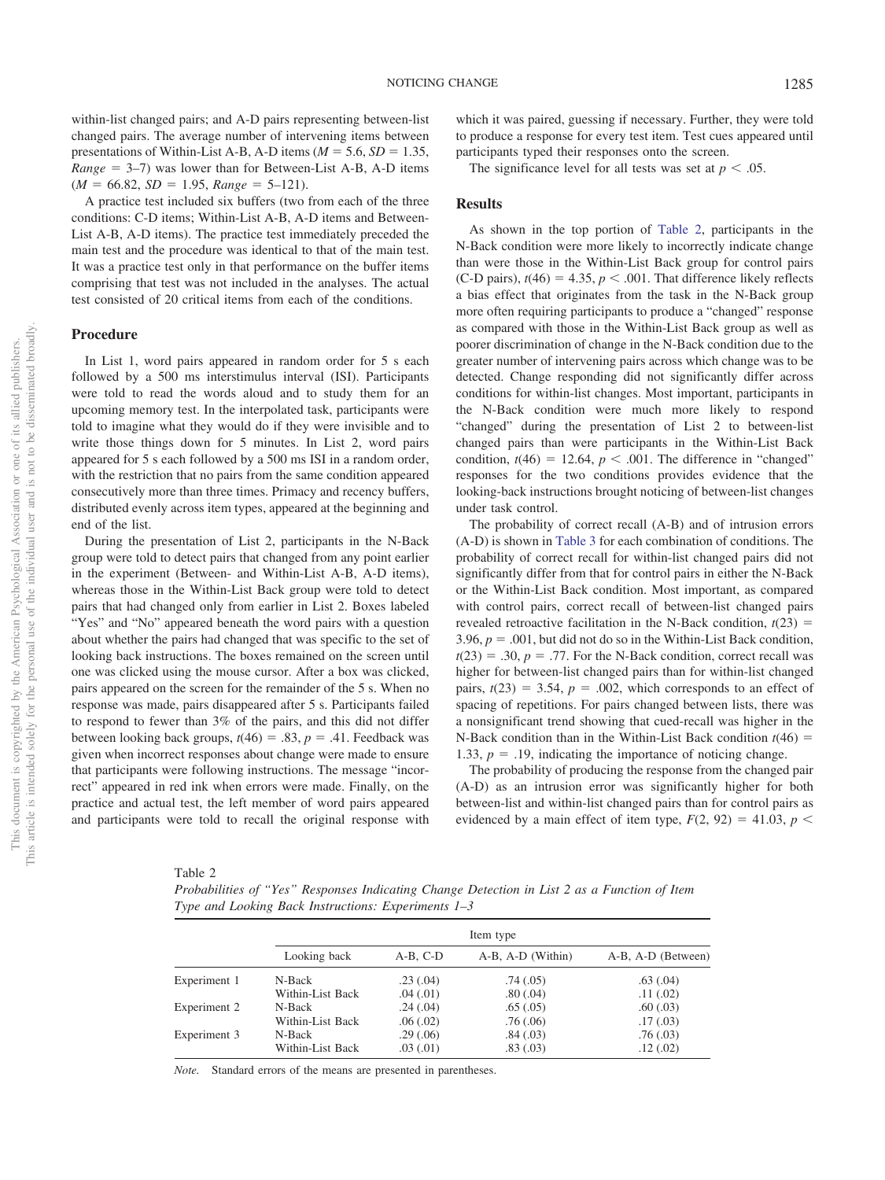within-list changed pairs; and A-D pairs representing between-list changed pairs. The average number of intervening items between presentations of Within-List A-B, A-D items ( $M = 5.6$ ,  $SD = 1.35$ , *Range*  $= 3-7$ ) was lower than for Between-List A-B, A-D items  $(M = 66.82, SD = 1.95, Range = 5-121).$ 

A practice test included six buffers (two from each of the three conditions: C-D items; Within-List A-B, A-D items and Between-List A-B, A-D items). The practice test immediately preceded the main test and the procedure was identical to that of the main test. It was a practice test only in that performance on the buffer items comprising that test was not included in the analyses. The actual test consisted of 20 critical items from each of the conditions.

## **Procedure**

In List 1, word pairs appeared in random order for 5 s each followed by a 500 ms interstimulus interval (ISI). Participants were told to read the words aloud and to study them for an upcoming memory test. In the interpolated task, participants were told to imagine what they would do if they were invisible and to write those things down for 5 minutes. In List 2, word pairs appeared for 5 s each followed by a 500 ms ISI in a random order, with the restriction that no pairs from the same condition appeared consecutively more than three times. Primacy and recency buffers, distributed evenly across item types, appeared at the beginning and end of the list.

During the presentation of List 2, participants in the N-Back group were told to detect pairs that changed from any point earlier in the experiment (Between- and Within-List A-B, A-D items), whereas those in the Within-List Back group were told to detect pairs that had changed only from earlier in List 2. Boxes labeled "Yes" and "No" appeared beneath the word pairs with a question about whether the pairs had changed that was specific to the set of looking back instructions. The boxes remained on the screen until one was clicked using the mouse cursor. After a box was clicked, pairs appeared on the screen for the remainder of the 5 s. When no response was made, pairs disappeared after 5 s. Participants failed to respond to fewer than 3% of the pairs, and this did not differ between looking back groups,  $t(46) = .83$ ,  $p = .41$ . Feedback was given when incorrect responses about change were made to ensure that participants were following instructions. The message "incorrect" appeared in red ink when errors were made. Finally, on the practice and actual test, the left member of word pairs appeared and participants were told to recall the original response with which it was paired, guessing if necessary. Further, they were told to produce a response for every test item. Test cues appeared until participants typed their responses onto the screen.

The significance level for all tests was set at  $p < .05$ .

## **Results**

As shown in the top portion of [Table 2,](#page-3-0) participants in the N-Back condition were more likely to incorrectly indicate change than were those in the Within-List Back group for control pairs (C-D pairs),  $t(46) = 4.35$ ,  $p < .001$ . That difference likely reflects a bias effect that originates from the task in the N-Back group more often requiring participants to produce a "changed" response as compared with those in the Within-List Back group as well as poorer discrimination of change in the N-Back condition due to the greater number of intervening pairs across which change was to be detected. Change responding did not significantly differ across conditions for within-list changes. Most important, participants in the N-Back condition were much more likely to respond "changed" during the presentation of List 2 to between-list changed pairs than were participants in the Within-List Back condition,  $t(46) = 12.64$ ,  $p < .001$ . The difference in "changed" responses for the two conditions provides evidence that the looking-back instructions brought noticing of between-list changes under task control.

The probability of correct recall (A-B) and of intrusion errors (A-D) is shown in [Table 3](#page-4-0) for each combination of conditions. The probability of correct recall for within-list changed pairs did not significantly differ from that for control pairs in either the N-Back or the Within-List Back condition. Most important, as compared with control pairs, correct recall of between-list changed pairs revealed retroactive facilitation in the N-Back condition,  $t(23)$  = 3.96,  $p = .001$ , but did not do so in the Within-List Back condition,  $t(23) = .30, p = .77$ . For the N-Back condition, correct recall was higher for between-list changed pairs than for within-list changed pairs,  $t(23) = 3.54$ ,  $p = .002$ , which corresponds to an effect of spacing of repetitions. For pairs changed between lists, there was a nonsignificant trend showing that cued-recall was higher in the N-Back condition than in the Within-List Back condition  $t(46)$  = 1.33,  $p = .19$ , indicating the importance of noticing change.

The probability of producing the response from the changed pair (A-D) as an intrusion error was significantly higher for both between-list and within-list changed pairs than for control pairs as evidenced by a main effect of item type,  $F(2, 92) = 41.03$ ,  $p <$ 

<span id="page-3-0"></span>Table 2

|  |  | Probabilities of "Yes" Responses Indicating Change Detection in List 2 as a Function of Item |  |  |  |  |  |
|--|--|----------------------------------------------------------------------------------------------|--|--|--|--|--|
|  |  | Type and Looking Back Instructions: Experiments 1–3                                          |  |  |  |  |  |

|              | Item type        |            |                   |                    |  |
|--------------|------------------|------------|-------------------|--------------------|--|
|              | Looking back     | $A-B, C-D$ | A-B, A-D (Within) | A-B, A-D (Between) |  |
| Experiment 1 | N-Back           | .23(.04)   | .74(.05)          | .63(0.04)          |  |
|              | Within-List Back | .04(01)    | .80(.04)          | .11(.02)           |  |
| Experiment 2 | N-Back           | .24(.04)   | .65(.05)          | .60(.03)           |  |
|              | Within-List Back | .06(.02)   | .76(.06)          | .17(03)            |  |
| Experiment 3 | N-Back           | .29(.06)   | .84(.03)          | .76(.03)           |  |
|              | Within-List Back | .03(0.01)  | .83(0.03)         | .12(.02)           |  |

*Note.* Standard errors of the means are presented in parentheses.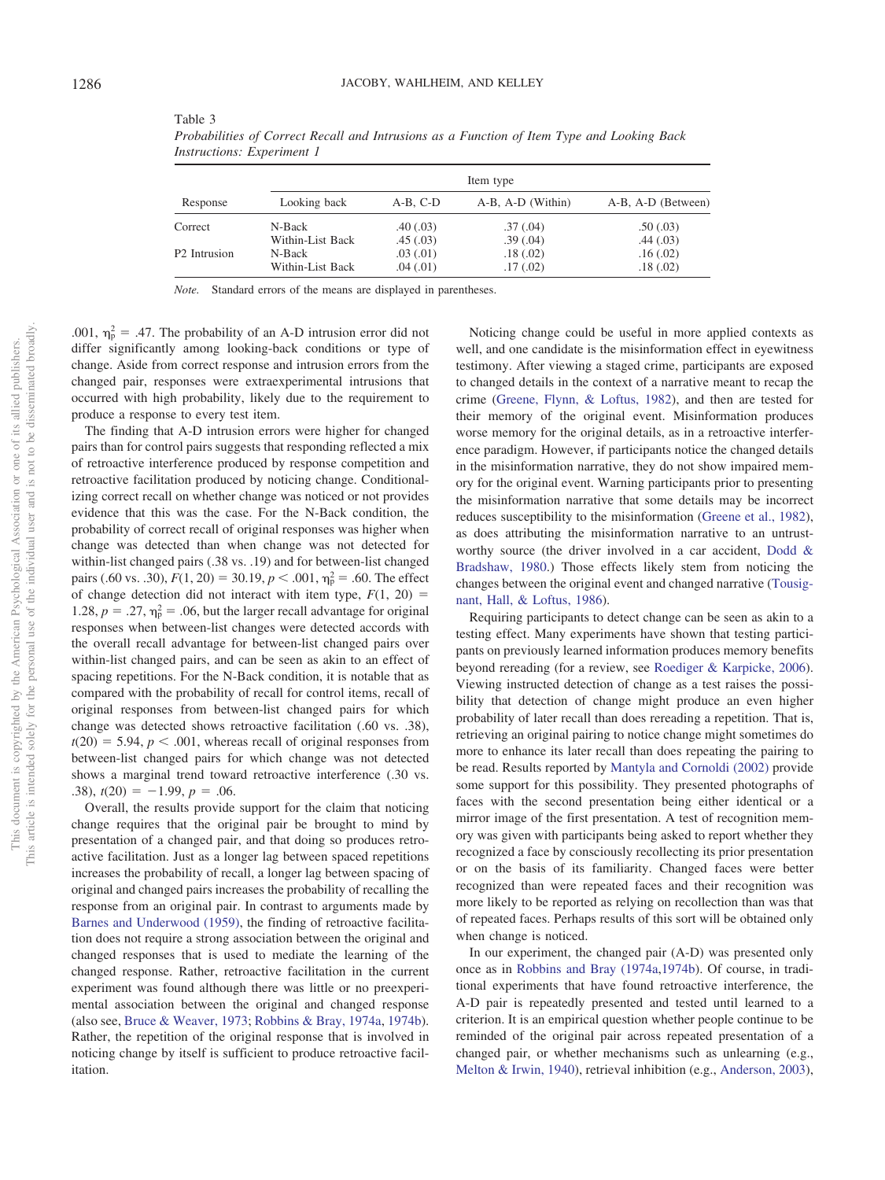|                          |                            | Item type                          |                                  |                                  |  |  |  |
|--------------------------|----------------------------|------------------------------------|----------------------------------|----------------------------------|--|--|--|
| Response                 | Looking back               | $A-B. C-D$                         | A-B, A-D (Within)                | A-B, A-D (Between)               |  |  |  |
| Correct                  | N-Back<br>Within-List Back | .40(0.03)                          | .37(.04)                         | .50(.03)                         |  |  |  |
| P <sub>2</sub> Intrusion | N-Back<br>Within-List Back | .45(.03)<br>.03(0.01)<br>.04(0.01) | .39(.04)<br>.18(0.02)<br>.17(02) | .44(03)<br>.16(.02)<br>.18(0.02) |  |  |  |

<span id="page-4-0"></span>Table 3 *Probabilities of Correct Recall and Intrusions as a Function of Item Type and Looking Back Instructions: Experiment 1*

*Note.* Standard errors of the means are displayed in parentheses.

.001,  $\eta_p^2 = .47$ . The probability of an A-D intrusion error did not differ significantly among looking-back conditions or type of change. Aside from correct response and intrusion errors from the changed pair, responses were extraexperimental intrusions that occurred with high probability, likely due to the requirement to produce a response to every test item.

The finding that A-D intrusion errors were higher for changed pairs than for control pairs suggests that responding reflected a mix of retroactive interference produced by response competition and retroactive facilitation produced by noticing change. Conditionalizing correct recall on whether change was noticed or not provides evidence that this was the case. For the N-Back condition, the probability of correct recall of original responses was higher when change was detected than when change was not detected for within-list changed pairs (.38 vs. .19) and for between-list changed pairs (.60 vs. .30),  $F(1, 20) = 30.19$ ,  $p < .001$ ,  $\eta_p^2 = .60$ . The effect of change detection did not interact with item type,  $F(1, 20)$  = 1.28,  $p = .27$ ,  $\eta_p^2 = .06$ , but the larger recall advantage for original responses when between-list changes were detected accords with the overall recall advantage for between-list changed pairs over within-list changed pairs, and can be seen as akin to an effect of spacing repetitions. For the N-Back condition, it is notable that as compared with the probability of recall for control items, recall of original responses from between-list changed pairs for which change was detected shows retroactive facilitation (.60 vs. .38),  $t(20) = 5.94$ ,  $p < .001$ , whereas recall of original responses from between-list changed pairs for which change was not detected shows a marginal trend toward retroactive interference (.30 vs. .38),  $t(20) = -1.99$ ,  $p = .06$ .

Overall, the results provide support for the claim that noticing change requires that the original pair be brought to mind by presentation of a changed pair, and that doing so produces retroactive facilitation. Just as a longer lag between spaced repetitions increases the probability of recall, a longer lag between spacing of original and changed pairs increases the probability of recalling the response from an original pair. In contrast to arguments made by [Barnes and Underwood \(1959\),](#page-14-4) the finding of retroactive facilitation does not require a strong association between the original and changed responses that is used to mediate the learning of the changed response. Rather, retroactive facilitation in the current experiment was found although there was little or no preexperimental association between the original and changed response (also see, [Bruce & Weaver, 1973;](#page-14-5) [Robbins & Bray, 1974a,](#page-15-5) [1974b\)](#page-15-6). Rather, the repetition of the original response that is involved in noticing change by itself is sufficient to produce retroactive facilitation.

Noticing change could be useful in more applied contexts as well, and one candidate is the misinformation effect in eyewitness testimony. After viewing a staged crime, participants are exposed to changed details in the context of a narrative meant to recap the crime [\(Greene, Flynn, & Loftus, 1982\)](#page-14-9), and then are tested for their memory of the original event. Misinformation produces worse memory for the original details, as in a retroactive interference paradigm. However, if participants notice the changed details in the misinformation narrative, they do not show impaired memory for the original event. Warning participants prior to presenting the misinformation narrative that some details may be incorrect reduces susceptibility to the misinformation [\(Greene et al., 1982\)](#page-14-9), as does attributing the misinformation narrative to an untrustworthy source (the driver involved in a car accident, [Dodd &](#page-14-10) [Bradshaw, 1980.](#page-14-10)) Those effects likely stem from noticing the changes between the original event and changed narrative [\(Tousig](#page-15-10)[nant, Hall, & Loftus, 1986\)](#page-15-10).

Requiring participants to detect change can be seen as akin to a testing effect. Many experiments have shown that testing participants on previously learned information produces memory benefits beyond rereading (for a review, see [Roediger & Karpicke, 2006\)](#page-15-11). Viewing instructed detection of change as a test raises the possibility that detection of change might produce an even higher probability of later recall than does rereading a repetition. That is, retrieving an original pairing to notice change might sometimes do more to enhance its later recall than does repeating the pairing to be read. Results reported by [Mantyla and Cornoldi \(2002\)](#page-15-12) provide some support for this possibility. They presented photographs of faces with the second presentation being either identical or a mirror image of the first presentation. A test of recognition memory was given with participants being asked to report whether they recognized a face by consciously recollecting its prior presentation or on the basis of its familiarity. Changed faces were better recognized than were repeated faces and their recognition was more likely to be reported as relying on recollection than was that of repeated faces. Perhaps results of this sort will be obtained only when change is noticed.

In our experiment, the changed pair (A-D) was presented only once as in [Robbins and Bray \(1974a,](#page-15-5)[1974b\)](#page-15-6). Of course, in traditional experiments that have found retroactive interference, the A-D pair is repeatedly presented and tested until learned to a criterion. It is an empirical question whether people continue to be reminded of the original pair across repeated presentation of a changed pair, or whether mechanisms such as unlearning (e.g., [Melton & Irwin, 1940\)](#page-15-1), retrieval inhibition (e.g., [Anderson, 2003\)](#page-14-11),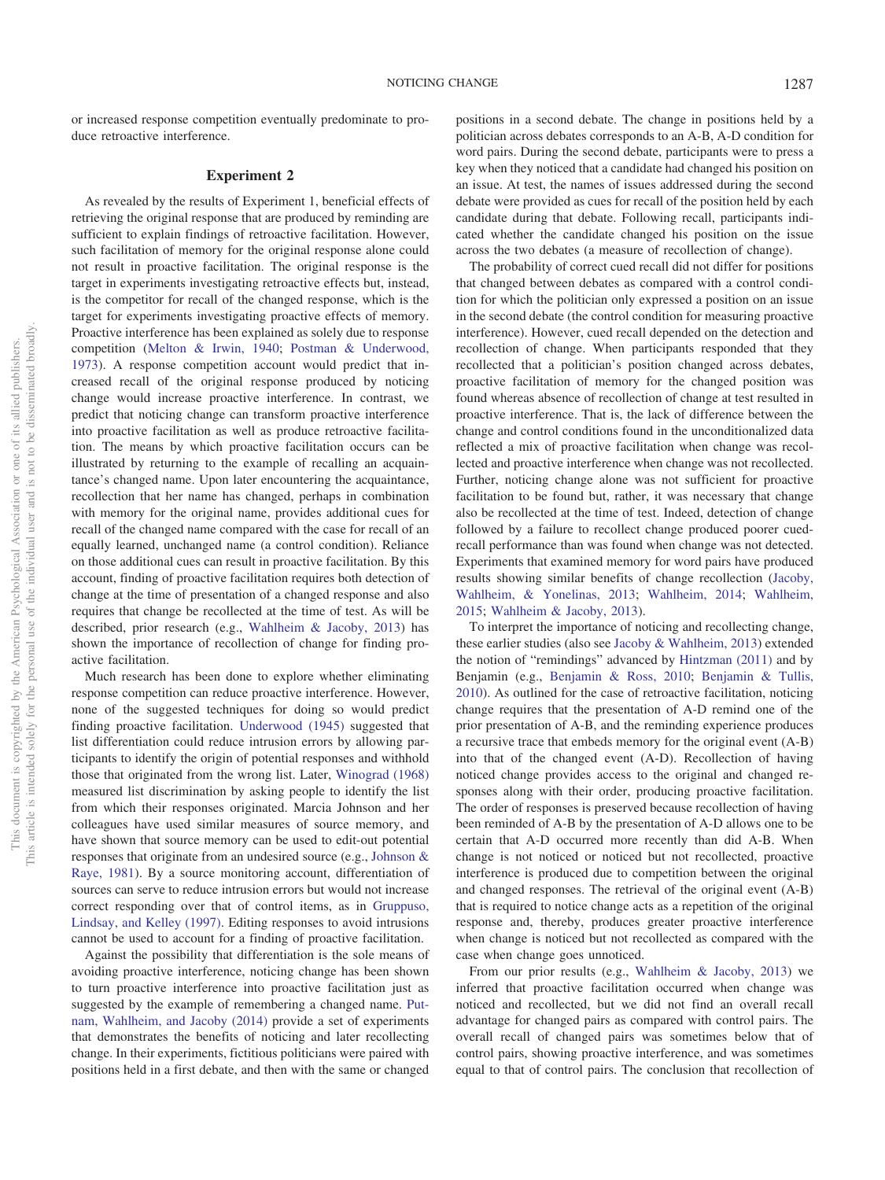or increased response competition eventually predominate to produce retroactive interference.

#### **Experiment 2**

As revealed by the results of Experiment 1, beneficial effects of retrieving the original response that are produced by reminding are sufficient to explain findings of retroactive facilitation. However, such facilitation of memory for the original response alone could not result in proactive facilitation. The original response is the target in experiments investigating retroactive effects but, instead, is the competitor for recall of the changed response, which is the target for experiments investigating proactive effects of memory. Proactive interference has been explained as solely due to response competition [\(Melton & Irwin, 1940;](#page-15-1) [Postman & Underwood,](#page-15-2) [1973\)](#page-15-2). A response competition account would predict that increased recall of the original response produced by noticing change would increase proactive interference. In contrast, we predict that noticing change can transform proactive interference into proactive facilitation as well as produce retroactive facilitation. The means by which proactive facilitation occurs can be illustrated by returning to the example of recalling an acquaintance's changed name. Upon later encountering the acquaintance, recollection that her name has changed, perhaps in combination with memory for the original name, provides additional cues for recall of the changed name compared with the case for recall of an equally learned, unchanged name (a control condition). Reliance on those additional cues can result in proactive facilitation. By this account, finding of proactive facilitation requires both detection of change at the time of presentation of a changed response and also requires that change be recollected at the time of test. As will be described, prior research (e.g., [Wahlheim & Jacoby, 2013\)](#page-15-8) has shown the importance of recollection of change for finding proactive facilitation.

Much research has been done to explore whether eliminating response competition can reduce proactive interference. However, none of the suggested techniques for doing so would predict finding proactive facilitation. [Underwood \(1945\)](#page-15-13) suggested that list differentiation could reduce intrusion errors by allowing participants to identify the origin of potential responses and withhold those that originated from the wrong list. Later, [Winograd \(1968\)](#page-15-14) measured list discrimination by asking people to identify the list from which their responses originated. Marcia Johnson and her colleagues have used similar measures of source memory, and have shown that source memory can be used to edit-out potential responses that originate from an undesired source (e.g., [Johnson &](#page-15-15) [Raye, 1981\)](#page-15-15). By a source monitoring account, differentiation of sources can serve to reduce intrusion errors but would not increase correct responding over that of control items, as in [Gruppuso,](#page-14-12) [Lindsay, and Kelley \(1997\).](#page-14-12) Editing responses to avoid intrusions cannot be used to account for a finding of proactive facilitation.

Against the possibility that differentiation is the sole means of avoiding proactive interference, noticing change has been shown to turn proactive interference into proactive facilitation just as suggested by the example of remembering a changed name. [Put](#page-15-16)[nam, Wahlheim, and Jacoby \(2014\)](#page-15-16) provide a set of experiments that demonstrates the benefits of noticing and later recollecting change. In their experiments, fictitious politicians were paired with positions held in a first debate, and then with the same or changed positions in a second debate. The change in positions held by a politician across debates corresponds to an A-B, A-D condition for word pairs. During the second debate, participants were to press a key when they noticed that a candidate had changed his position on an issue. At test, the names of issues addressed during the second debate were provided as cues for recall of the position held by each candidate during that debate. Following recall, participants indicated whether the candidate changed his position on the issue across the two debates (a measure of recollection of change).

The probability of correct cued recall did not differ for positions that changed between debates as compared with a control condition for which the politician only expressed a position on an issue in the second debate (the control condition for measuring proactive interference). However, cued recall depended on the detection and recollection of change. When participants responded that they recollected that a politician's position changed across debates, proactive facilitation of memory for the changed position was found whereas absence of recollection of change at test resulted in proactive interference. That is, the lack of difference between the change and control conditions found in the unconditionalized data reflected a mix of proactive facilitation when change was recollected and proactive interference when change was not recollected. Further, noticing change alone was not sufficient for proactive facilitation to be found but, rather, it was necessary that change also be recollected at the time of test. Indeed, detection of change followed by a failure to recollect change produced poorer cuedrecall performance than was found when change was not detected. Experiments that examined memory for word pairs have produced results showing similar benefits of change recollection [\(Jacoby,](#page-14-13) [Wahlheim, & Yonelinas, 2013;](#page-14-13) [Wahlheim, 2014;](#page-15-17) [Wahlheim,](#page-15-18) [2015;](#page-15-18) [Wahlheim & Jacoby, 2013\)](#page-15-8).

To interpret the importance of noticing and recollecting change, these earlier studies (also see [Jacoby & Wahlheim, 2013\)](#page-14-7) extended the notion of "remindings" advanced by [Hintzman \(2011\)](#page-14-14) and by Benjamin (e.g., [Benjamin & Ross, 2010;](#page-14-15) [Benjamin & Tullis,](#page-14-16) [2010\)](#page-14-16). As outlined for the case of retroactive facilitation, noticing change requires that the presentation of A-D remind one of the prior presentation of A-B, and the reminding experience produces a recursive trace that embeds memory for the original event (A-B) into that of the changed event (A-D). Recollection of having noticed change provides access to the original and changed responses along with their order, producing proactive facilitation. The order of responses is preserved because recollection of having been reminded of A-B by the presentation of A-D allows one to be certain that A-D occurred more recently than did A-B. When change is not noticed or noticed but not recollected, proactive interference is produced due to competition between the original and changed responses. The retrieval of the original event (A-B) that is required to notice change acts as a repetition of the original response and, thereby, produces greater proactive interference when change is noticed but not recollected as compared with the case when change goes unnoticed.

From our prior results (e.g., [Wahlheim & Jacoby, 2013\)](#page-15-8) we inferred that proactive facilitation occurred when change was noticed and recollected, but we did not find an overall recall advantage for changed pairs as compared with control pairs. The overall recall of changed pairs was sometimes below that of control pairs, showing proactive interference, and was sometimes equal to that of control pairs. The conclusion that recollection of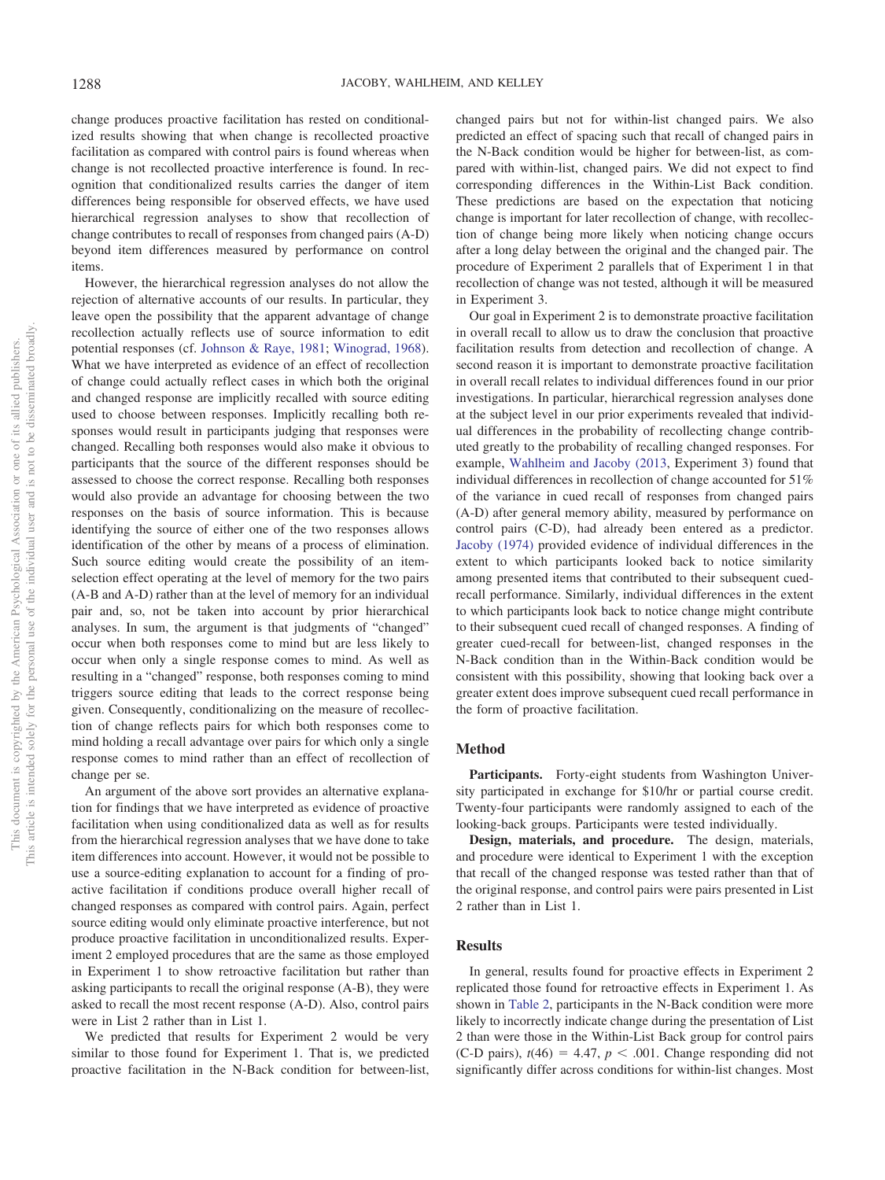change produces proactive facilitation has rested on conditionalized results showing that when change is recollected proactive facilitation as compared with control pairs is found whereas when change is not recollected proactive interference is found. In recognition that conditionalized results carries the danger of item differences being responsible for observed effects, we have used hierarchical regression analyses to show that recollection of change contributes to recall of responses from changed pairs (A-D) beyond item differences measured by performance on control items.

However, the hierarchical regression analyses do not allow the rejection of alternative accounts of our results. In particular, they leave open the possibility that the apparent advantage of change recollection actually reflects use of source information to edit potential responses (cf. [Johnson & Raye, 1981;](#page-15-15) [Winograd, 1968\)](#page-15-14). What we have interpreted as evidence of an effect of recollection of change could actually reflect cases in which both the original and changed response are implicitly recalled with source editing used to choose between responses. Implicitly recalling both responses would result in participants judging that responses were changed. Recalling both responses would also make it obvious to participants that the source of the different responses should be assessed to choose the correct response. Recalling both responses would also provide an advantage for choosing between the two responses on the basis of source information. This is because identifying the source of either one of the two responses allows identification of the other by means of a process of elimination. Such source editing would create the possibility of an itemselection effect operating at the level of memory for the two pairs (A-B and A-D) rather than at the level of memory for an individual pair and, so, not be taken into account by prior hierarchical analyses. In sum, the argument is that judgments of "changed" occur when both responses come to mind but are less likely to occur when only a single response comes to mind. As well as resulting in a "changed" response, both responses coming to mind triggers source editing that leads to the correct response being given. Consequently, conditionalizing on the measure of recollection of change reflects pairs for which both responses come to mind holding a recall advantage over pairs for which only a single response comes to mind rather than an effect of recollection of change per se.

An argument of the above sort provides an alternative explanation for findings that we have interpreted as evidence of proactive facilitation when using conditionalized data as well as for results from the hierarchical regression analyses that we have done to take item differences into account. However, it would not be possible to use a source-editing explanation to account for a finding of proactive facilitation if conditions produce overall higher recall of changed responses as compared with control pairs. Again, perfect source editing would only eliminate proactive interference, but not produce proactive facilitation in unconditionalized results. Experiment 2 employed procedures that are the same as those employed in Experiment 1 to show retroactive facilitation but rather than asking participants to recall the original response (A-B), they were asked to recall the most recent response (A-D). Also, control pairs were in List 2 rather than in List 1.

We predicted that results for Experiment 2 would be very similar to those found for Experiment 1. That is, we predicted proactive facilitation in the N-Back condition for between-list, changed pairs but not for within-list changed pairs. We also predicted an effect of spacing such that recall of changed pairs in the N-Back condition would be higher for between-list, as compared with within-list, changed pairs. We did not expect to find corresponding differences in the Within-List Back condition. These predictions are based on the expectation that noticing change is important for later recollection of change, with recollection of change being more likely when noticing change occurs after a long delay between the original and the changed pair. The procedure of Experiment 2 parallels that of Experiment 1 in that recollection of change was not tested, although it will be measured in Experiment 3.

Our goal in Experiment 2 is to demonstrate proactive facilitation in overall recall to allow us to draw the conclusion that proactive facilitation results from detection and recollection of change. A second reason it is important to demonstrate proactive facilitation in overall recall relates to individual differences found in our prior investigations. In particular, hierarchical regression analyses done at the subject level in our prior experiments revealed that individual differences in the probability of recollecting change contributed greatly to the probability of recalling changed responses. For example, [Wahlheim and Jacoby \(2013,](#page-15-8) Experiment 3) found that individual differences in recollection of change accounted for 51% of the variance in cued recall of responses from changed pairs (A-D) after general memory ability, measured by performance on control pairs (C-D), had already been entered as a predictor. [Jacoby \(1974\)](#page-14-6) provided evidence of individual differences in the extent to which participants looked back to notice similarity among presented items that contributed to their subsequent cuedrecall performance. Similarly, individual differences in the extent to which participants look back to notice change might contribute to their subsequent cued recall of changed responses. A finding of greater cued-recall for between-list, changed responses in the N-Back condition than in the Within-Back condition would be consistent with this possibility, showing that looking back over a greater extent does improve subsequent cued recall performance in the form of proactive facilitation.

## **Method**

**Participants.** Forty-eight students from Washington University participated in exchange for \$10/hr or partial course credit. Twenty-four participants were randomly assigned to each of the looking-back groups. Participants were tested individually.

**Design, materials, and procedure.** The design, materials, and procedure were identical to Experiment 1 with the exception that recall of the changed response was tested rather than that of the original response, and control pairs were pairs presented in List 2 rather than in List 1.

#### **Results**

In general, results found for proactive effects in Experiment 2 replicated those found for retroactive effects in Experiment 1. As shown in [Table 2,](#page-3-0) participants in the N-Back condition were more likely to incorrectly indicate change during the presentation of List 2 than were those in the Within-List Back group for control pairs (C-D pairs),  $t(46) = 4.47$ ,  $p < .001$ . Change responding did not significantly differ across conditions for within-list changes. Most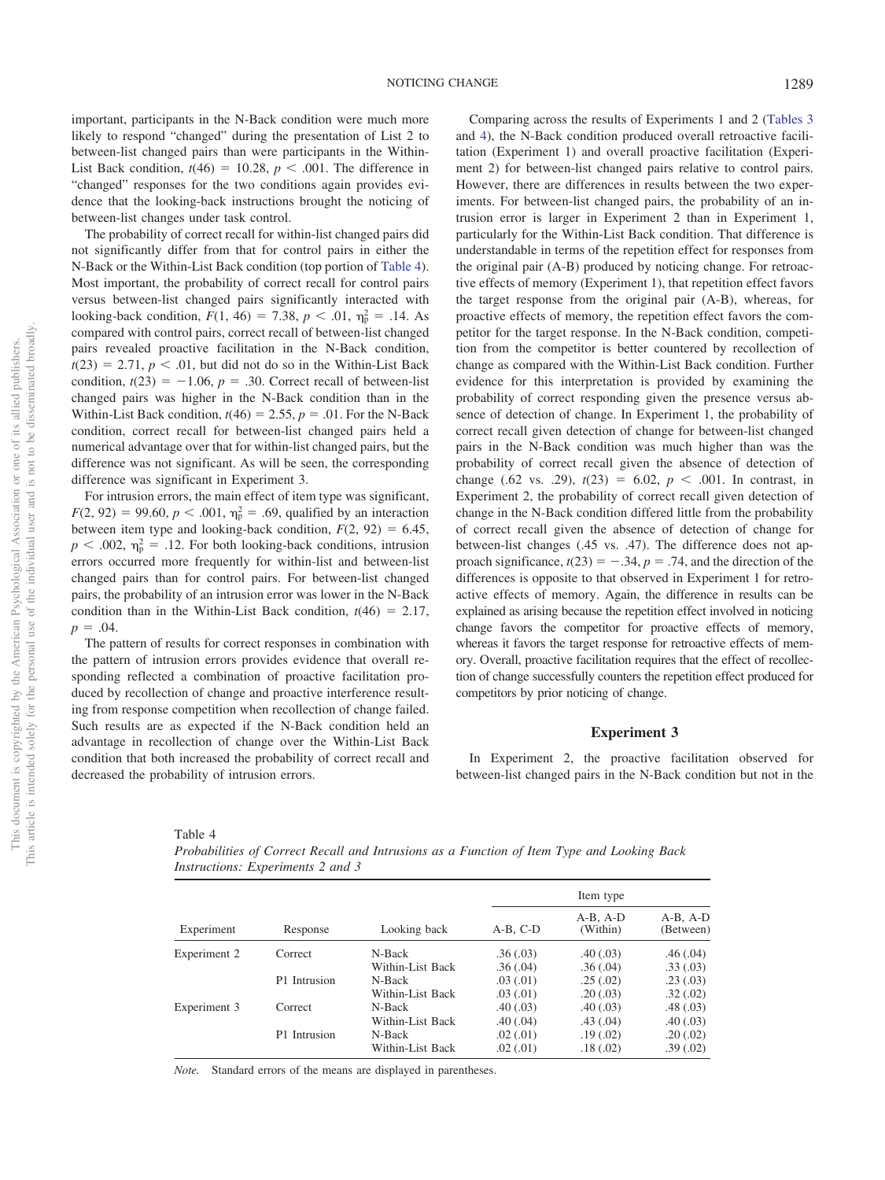important, participants in the N-Back condition were much more likely to respond "changed" during the presentation of List 2 to between-list changed pairs than were participants in the Within-List Back condition,  $t(46) = 10.28$ ,  $p < .001$ . The difference in "changed" responses for the two conditions again provides evidence that the looking-back instructions brought the noticing of between-list changes under task control.

The probability of correct recall for within-list changed pairs did not significantly differ from that for control pairs in either the N-Back or the Within-List Back condition (top portion of [Table 4\)](#page-7-0). Most important, the probability of correct recall for control pairs versus between-list changed pairs significantly interacted with looking-back condition,  $F(1, 46) = 7.38$ ,  $p < .01$ ,  $\eta_p^2 = .14$ . As compared with control pairs, correct recall of between-list changed pairs revealed proactive facilitation in the N-Back condition,  $t(23) = 2.71$ ,  $p < .01$ , but did not do so in the Within-List Back condition,  $t(23) = -1.06$ ,  $p = .30$ . Correct recall of between-list changed pairs was higher in the N-Back condition than in the Within-List Back condition,  $t(46) = 2.55$ ,  $p = .01$ . For the N-Back condition, correct recall for between-list changed pairs held a numerical advantage over that for within-list changed pairs, but the difference was not significant. As will be seen, the corresponding difference was significant in Experiment 3.

For intrusion errors, the main effect of item type was significant,  $F(2, 92) = 99.60, p < .001, \eta_p^2 = .69$ , qualified by an interaction between item type and looking-back condition,  $F(2, 92) = 6.45$ ,  $p < .002$ ,  $\eta_p^2 = .12$ . For both looking-back conditions, intrusion errors occurred more frequently for within-list and between-list changed pairs than for control pairs. For between-list changed pairs, the probability of an intrusion error was lower in the N-Back condition than in the Within-List Back condition,  $t(46) = 2.17$ ,  $p = .04$ .

The pattern of results for correct responses in combination with the pattern of intrusion errors provides evidence that overall responding reflected a combination of proactive facilitation produced by recollection of change and proactive interference resulting from response competition when recollection of change failed. Such results are as expected if the N-Back condition held an advantage in recollection of change over the Within-List Back condition that both increased the probability of correct recall and decreased the probability of intrusion errors.

Comparing across the results of Experiments 1 and 2 [\(Tables 3](#page-4-0) and [4\)](#page-7-0), the N-Back condition produced overall retroactive facilitation (Experiment 1) and overall proactive facilitation (Experiment 2) for between-list changed pairs relative to control pairs. However, there are differences in results between the two experiments. For between-list changed pairs, the probability of an intrusion error is larger in Experiment 2 than in Experiment 1, particularly for the Within-List Back condition. That difference is understandable in terms of the repetition effect for responses from the original pair (A-B) produced by noticing change. For retroactive effects of memory (Experiment 1), that repetition effect favors the target response from the original pair (A-B), whereas, for proactive effects of memory, the repetition effect favors the competitor for the target response. In the N-Back condition, competition from the competitor is better countered by recollection of change as compared with the Within-List Back condition. Further evidence for this interpretation is provided by examining the probability of correct responding given the presence versus absence of detection of change. In Experiment 1, the probability of correct recall given detection of change for between-list changed pairs in the N-Back condition was much higher than was the probability of correct recall given the absence of detection of change (.62 vs. .29),  $t(23) = 6.02$ ,  $p < .001$ . In contrast, in Experiment 2, the probability of correct recall given detection of change in the N-Back condition differed little from the probability of correct recall given the absence of detection of change for between-list changes (.45 vs. .47). The difference does not approach significance,  $t(23) = -.34$ ,  $p = .74$ , and the direction of the differences is opposite to that observed in Experiment 1 for retroactive effects of memory. Again, the difference in results can be explained as arising because the repetition effect involved in noticing change favors the competitor for proactive effects of memory, whereas it favors the target response for retroactive effects of memory. Overall, proactive facilitation requires that the effect of recollection of change successfully counters the repetition effect produced for competitors by prior noticing of change.

## **Experiment 3**

In Experiment 2, the proactive facilitation observed for between-list changed pairs in the N-Back condition but not in the

<span id="page-7-0"></span>Table 4

*Probabilities of Correct Recall and Intrusions as a Function of Item Type and Looking Back Instructions: Experiments 2 and 3*

|              |              |                  | Item type  |                        |                         |  |  |
|--------------|--------------|------------------|------------|------------------------|-------------------------|--|--|
| Experiment   | Response     | Looking back     | $A-B, C-D$ | $A-B, A-D$<br>(Within) | $A-B, A-D$<br>(Between) |  |  |
| Experiment 2 | Correct      | N-Back           | .36(.03)   | .40(0.03)              | .46(.04)                |  |  |
|              |              | Within-List Back | .36(.04)   | .36(.04)               | .33(.03)                |  |  |
|              | P1 Intrusion | N-Back           | .03(0.01)  | .25(.02)               | .23(0.03)               |  |  |
|              |              | Within-List Back | .03(0.01)  | .20(.03)               | .32(.02)                |  |  |
| Experiment 3 | Correct      | N-Back           | .40(0.03)  | .40(0.03)              | .48(0.03)               |  |  |
|              |              | Within-List Back | .40(.04)   | .43(.04)               | .40(0.03)               |  |  |
|              | P1 Intrusion | N-Back           | .02(.01)   | .19(0.02)              | .20(.02)                |  |  |
|              |              | Within-List Back | .02(0.01)  | .18(.02)               | .39(.02)                |  |  |

*Note.* Standard errors of the means are displayed in parentheses.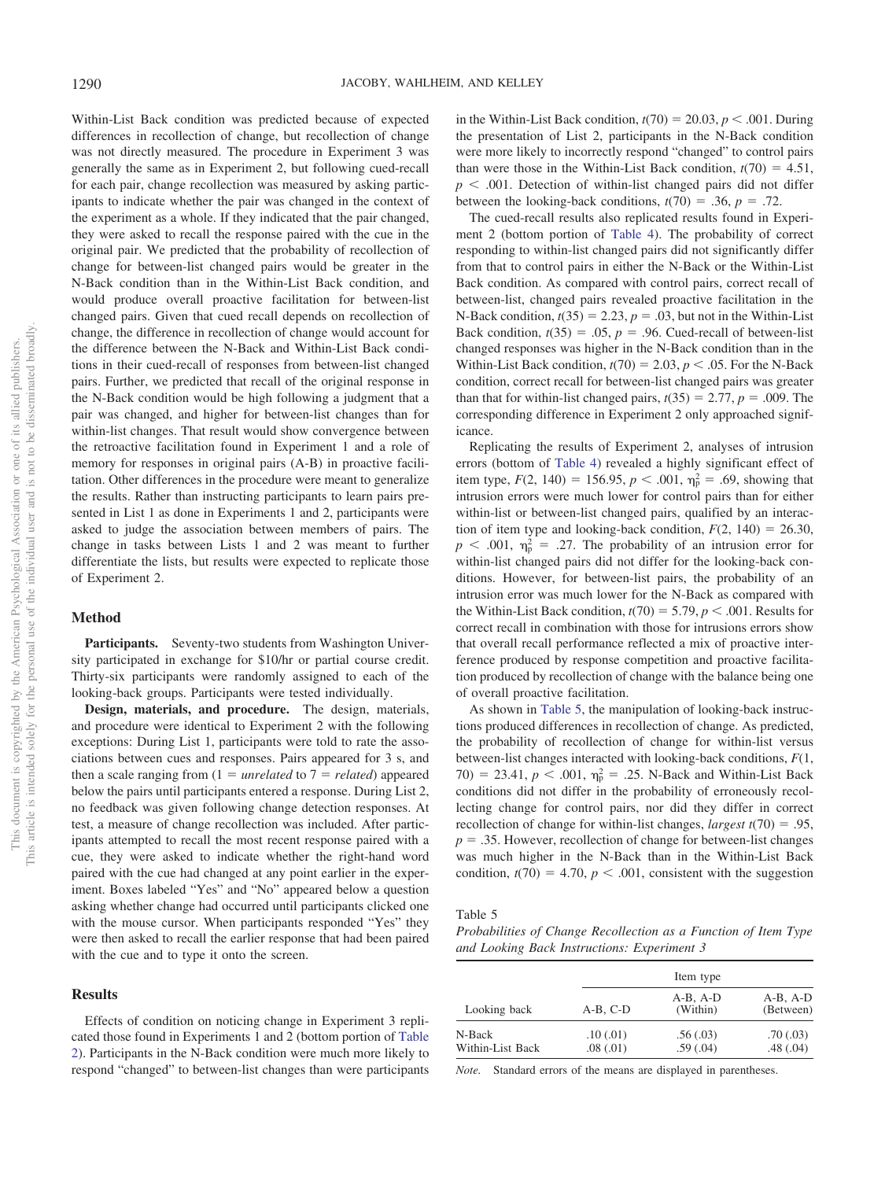Within-List Back condition was predicted because of expected differences in recollection of change, but recollection of change was not directly measured. The procedure in Experiment 3 was generally the same as in Experiment 2, but following cued-recall for each pair, change recollection was measured by asking participants to indicate whether the pair was changed in the context of the experiment as a whole. If they indicated that the pair changed, they were asked to recall the response paired with the cue in the original pair. We predicted that the probability of recollection of change for between-list changed pairs would be greater in the N-Back condition than in the Within-List Back condition, and would produce overall proactive facilitation for between-list changed pairs. Given that cued recall depends on recollection of change, the difference in recollection of change would account for the difference between the N-Back and Within-List Back conditions in their cued-recall of responses from between-list changed pairs. Further, we predicted that recall of the original response in the N-Back condition would be high following a judgment that a pair was changed, and higher for between-list changes than for within-list changes. That result would show convergence between the retroactive facilitation found in Experiment 1 and a role of memory for responses in original pairs (A-B) in proactive facilitation. Other differences in the procedure were meant to generalize the results. Rather than instructing participants to learn pairs presented in List 1 as done in Experiments 1 and 2, participants were asked to judge the association between members of pairs. The change in tasks between Lists 1 and 2 was meant to further differentiate the lists, but results were expected to replicate those of Experiment 2.

#### **Method**

**Participants.** Seventy-two students from Washington University participated in exchange for \$10/hr or partial course credit. Thirty-six participants were randomly assigned to each of the looking-back groups. Participants were tested individually.

**Design, materials, and procedure.** The design, materials, and procedure were identical to Experiment 2 with the following exceptions: During List 1, participants were told to rate the associations between cues and responses. Pairs appeared for 3 s, and then a scale ranging from  $(1 = unrelated to 7 = related)$  appeared below the pairs until participants entered a response. During List 2, no feedback was given following change detection responses. At test, a measure of change recollection was included. After participants attempted to recall the most recent response paired with a cue, they were asked to indicate whether the right-hand word paired with the cue had changed at any point earlier in the experiment. Boxes labeled "Yes" and "No" appeared below a question asking whether change had occurred until participants clicked one with the mouse cursor. When participants responded "Yes" they were then asked to recall the earlier response that had been paired with the cue and to type it onto the screen.

#### **Results**

Effects of condition on noticing change in Experiment 3 replicated those found in Experiments 1 and 2 (bottom portion of [Table](#page-3-0) [2\)](#page-3-0). Participants in the N-Back condition were much more likely to respond "changed" to between-list changes than were participants

in the Within-List Back condition,  $t(70) = 20.03$ ,  $p < .001$ . During the presentation of List 2, participants in the N-Back condition were more likely to incorrectly respond "changed" to control pairs than were those in the Within-List Back condition,  $t(70) = 4.51$ ,  $p \leq 0.001$ . Detection of within-list changed pairs did not differ between the looking-back conditions,  $t(70) = .36$ ,  $p = .72$ .

The cued-recall results also replicated results found in Experiment 2 (bottom portion of [Table 4\)](#page-7-0). The probability of correct responding to within-list changed pairs did not significantly differ from that to control pairs in either the N-Back or the Within-List Back condition. As compared with control pairs, correct recall of between-list, changed pairs revealed proactive facilitation in the N-Back condition,  $t(35) = 2.23$ ,  $p = .03$ , but not in the Within-List Back condition,  $t(35) = .05$ ,  $p = .96$ . Cued-recall of between-list changed responses was higher in the N-Back condition than in the Within-List Back condition,  $t(70) = 2.03$ ,  $p < .05$ . For the N-Back condition, correct recall for between-list changed pairs was greater than that for within-list changed pairs,  $t(35) = 2.77$ ,  $p = .009$ . The corresponding difference in Experiment 2 only approached significance.

Replicating the results of Experiment 2, analyses of intrusion errors (bottom of [Table 4\)](#page-7-0) revealed a highly significant effect of item type,  $F(2, 140) = 156.95, p < .001, \eta_p^2 = .69$ , showing that intrusion errors were much lower for control pairs than for either within-list or between-list changed pairs, qualified by an interaction of item type and looking-back condition,  $F(2, 140) = 26.30$ ,  $p$  < .001,  $\eta_{\rm p}^2$  = .27. The probability of an intrusion error for within-list changed pairs did not differ for the looking-back conditions. However, for between-list pairs, the probability of an intrusion error was much lower for the N-Back as compared with the Within-List Back condition,  $t(70) = 5.79$ ,  $p < .001$ . Results for correct recall in combination with those for intrusions errors show that overall recall performance reflected a mix of proactive interference produced by response competition and proactive facilitation produced by recollection of change with the balance being one of overall proactive facilitation.

As shown in [Table 5,](#page-8-0) the manipulation of looking-back instructions produced differences in recollection of change. As predicted, the probability of recollection of change for within-list versus between-list changes interacted with looking-back conditions, *F*(1,  $70) = 23.41, p < .001, \eta_{\rm p}^2 = .25$ . N-Back and Within-List Back conditions did not differ in the probability of erroneously recollecting change for control pairs, nor did they differ in correct recollection of change for within-list changes, *largest*  $t(70) = .95$ ,  $p = .35$ . However, recollection of change for between-list changes was much higher in the N-Back than in the Within-List Back condition,  $t(70) = 4.70$ ,  $p < .001$ , consistent with the suggestion

<span id="page-8-0"></span>Table 5

*Probabilities of Change Recollection as a Function of Item Type and Looking Back Instructions: Experiment 3*

|                            | Item type              |                        |                         |  |  |
|----------------------------|------------------------|------------------------|-------------------------|--|--|
| Looking back               | $A-B, C-D$             | $A-B, A-D$<br>(Within) | $A-B, A-D$<br>(Between) |  |  |
| N-Back<br>Within-List Back | .10(0.01)<br>.08(0.01) | .56(.03)<br>.59(.04)   | .70(0.03)<br>.48(.04)   |  |  |

*Note.* Standard errors of the means are displayed in parentheses.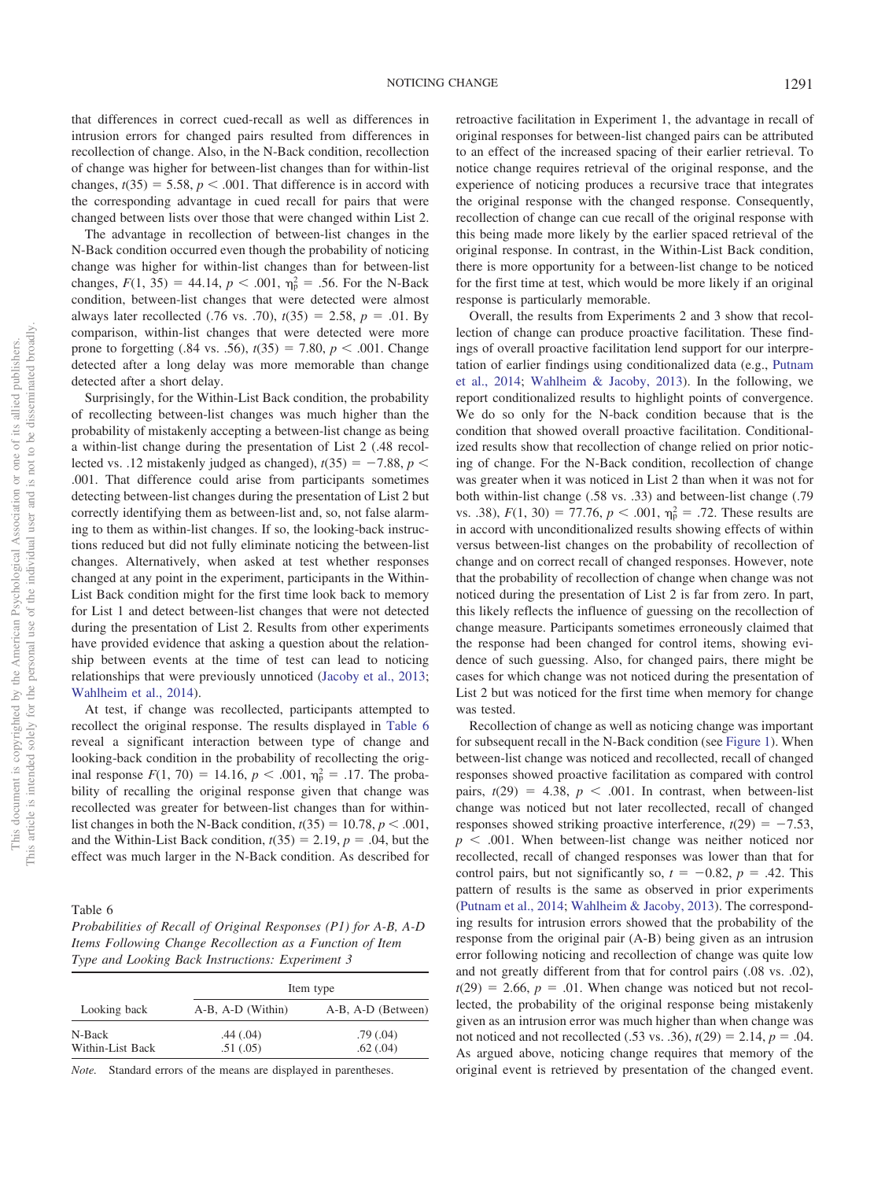that differences in correct cued-recall as well as differences in intrusion errors for changed pairs resulted from differences in recollection of change. Also, in the N-Back condition, recollection of change was higher for between-list changes than for within-list changes,  $t(35) = 5.58$ ,  $p < .001$ . That difference is in accord with the corresponding advantage in cued recall for pairs that were changed between lists over those that were changed within List 2.

The advantage in recollection of between-list changes in the N-Back condition occurred even though the probability of noticing change was higher for within-list changes than for between-list changes,  $F(1, 35) = 44.14$ ,  $p < .001$ ,  $\eta_p^2 = .56$ . For the N-Back condition, between-list changes that were detected were almost always later recollected (.76 vs. .70),  $t(35) = 2.58$ ,  $p = .01$ . By comparison, within-list changes that were detected were more prone to forgetting (.84 vs. .56),  $t(35) = 7.80, p < .001$ . Change detected after a long delay was more memorable than change detected after a short delay.

Surprisingly, for the Within-List Back condition, the probability of recollecting between-list changes was much higher than the probability of mistakenly accepting a between-list change as being a within-list change during the presentation of List 2 (.48 recollected vs. .12 mistakenly judged as changed),  $t(35) = -7.88$ ,  $p <$ .001. That difference could arise from participants sometimes detecting between-list changes during the presentation of List 2 but correctly identifying them as between-list and, so, not false alarming to them as within-list changes. If so, the looking-back instructions reduced but did not fully eliminate noticing the between-list changes. Alternatively, when asked at test whether responses changed at any point in the experiment, participants in the Within-List Back condition might for the first time look back to memory for List 1 and detect between-list changes that were not detected during the presentation of List 2. Results from other experiments have provided evidence that asking a question about the relationship between events at the time of test can lead to noticing relationships that were previously unnoticed [\(Jacoby et al., 2013;](#page-14-13) [Wahlheim et al., 2014\)](#page-15-7).

At test, if change was recollected, participants attempted to recollect the original response. The results displayed in [Table 6](#page-9-0) reveal a significant interaction between type of change and looking-back condition in the probability of recollecting the original response  $F(1, 70) = 14.16$ ,  $p < .001$ ,  $\eta_p^2 = .17$ . The probability of recalling the original response given that change was recollected was greater for between-list changes than for withinlist changes in both the N-Back condition,  $t(35) = 10.78$ ,  $p < .001$ , and the Within-List Back condition,  $t(35) = 2.19$ ,  $p = .04$ , but the effect was much larger in the N-Back condition. As described for

<span id="page-9-0"></span>Table 6

*Probabilities of Recall of Original Responses (P1) for A-B, A-D Items Following Change Recollection as a Function of Item Type and Looking Back Instructions: Experiment 3*

|                  | Item type         |                    |  |  |  |
|------------------|-------------------|--------------------|--|--|--|
| Looking back     | A-B, A-D (Within) | A-B, A-D (Between) |  |  |  |
| N-Back           | .44(.04)          | .79(0.04)          |  |  |  |
| Within-List Back | .51(.05)          | .62(.04)           |  |  |  |

*Note.* Standard errors of the means are displayed in parentheses.

retroactive facilitation in Experiment 1, the advantage in recall of original responses for between-list changed pairs can be attributed to an effect of the increased spacing of their earlier retrieval. To notice change requires retrieval of the original response, and the experience of noticing produces a recursive trace that integrates the original response with the changed response. Consequently, recollection of change can cue recall of the original response with this being made more likely by the earlier spaced retrieval of the original response. In contrast, in the Within-List Back condition, there is more opportunity for a between-list change to be noticed for the first time at test, which would be more likely if an original response is particularly memorable.

Overall, the results from Experiments 2 and 3 show that recollection of change can produce proactive facilitation. These findings of overall proactive facilitation lend support for our interpretation of earlier findings using conditionalized data (e.g., [Putnam](#page-15-16) [et al., 2014;](#page-15-16) [Wahlheim & Jacoby, 2013\)](#page-15-8). In the following, we report conditionalized results to highlight points of convergence. We do so only for the N-back condition because that is the condition that showed overall proactive facilitation. Conditionalized results show that recollection of change relied on prior noticing of change. For the N-Back condition, recollection of change was greater when it was noticed in List 2 than when it was not for both within-list change (.58 vs. .33) and between-list change (.79 vs. .38),  $F(1, 30) = 77.76$ ,  $p < .001$ ,  $\eta_p^2 = .72$ . These results are in accord with unconditionalized results showing effects of within versus between-list changes on the probability of recollection of change and on correct recall of changed responses. However, note that the probability of recollection of change when change was not noticed during the presentation of List 2 is far from zero. In part, this likely reflects the influence of guessing on the recollection of change measure. Participants sometimes erroneously claimed that the response had been changed for control items, showing evidence of such guessing. Also, for changed pairs, there might be cases for which change was not noticed during the presentation of List 2 but was noticed for the first time when memory for change was tested.

Recollection of change as well as noticing change was important for subsequent recall in the N-Back condition (see [Figure 1\)](#page-10-0). When between-list change was noticed and recollected, recall of changed responses showed proactive facilitation as compared with control pairs,  $t(29) = 4.38$ ,  $p < .001$ . In contrast, when between-list change was noticed but not later recollected, recall of changed responses showed striking proactive interference,  $t(29) = -7.53$ ,  $p \leq .001$ . When between-list change was neither noticed nor recollected, recall of changed responses was lower than that for control pairs, but not significantly so,  $t = -0.82$ ,  $p = .42$ . This pattern of results is the same as observed in prior experiments [\(Putnam et al., 2014;](#page-15-16) [Wahlheim & Jacoby, 2013\)](#page-15-8). The corresponding results for intrusion errors showed that the probability of the response from the original pair (A-B) being given as an intrusion error following noticing and recollection of change was quite low and not greatly different from that for control pairs (.08 vs. .02),  $t(29) = 2.66$ ,  $p = .01$ . When change was noticed but not recollected, the probability of the original response being mistakenly given as an intrusion error was much higher than when change was not noticed and not recollected (.53 vs. .36),  $t(29) = 2.14$ ,  $p = .04$ . As argued above, noticing change requires that memory of the original event is retrieved by presentation of the changed event.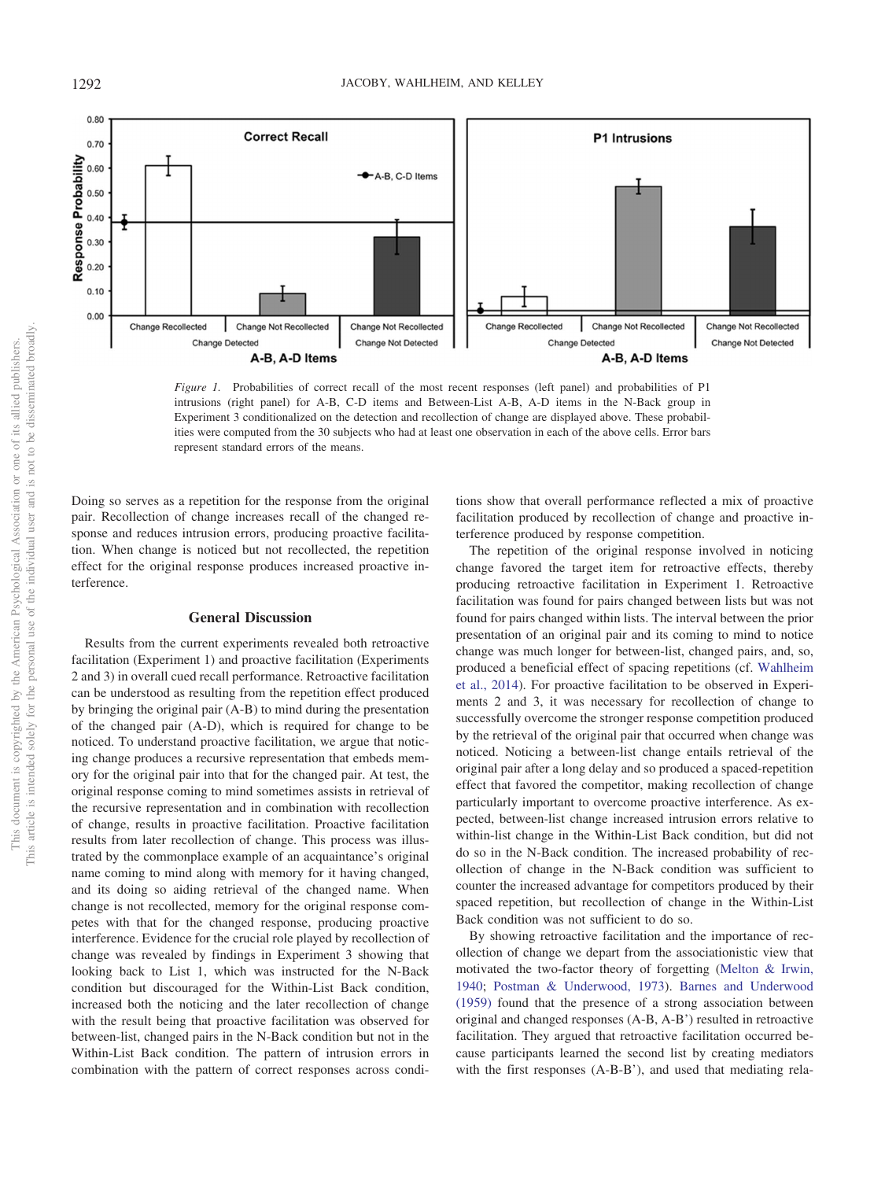

<span id="page-10-0"></span>*Figure 1.* Probabilities of correct recall of the most recent responses (left panel) and probabilities of P1 intrusions (right panel) for A-B, C-D items and Between-List A-B, A-D items in the N-Back group in Experiment 3 conditionalized on the detection and recollection of change are displayed above. These probabilities were computed from the 30 subjects who had at least one observation in each of the above cells. Error bars represent standard errors of the means.

Doing so serves as a repetition for the response from the original pair. Recollection of change increases recall of the changed response and reduces intrusion errors, producing proactive facilitation. When change is noticed but not recollected, the repetition effect for the original response produces increased proactive interference.

### **General Discussion**

Results from the current experiments revealed both retroactive facilitation (Experiment 1) and proactive facilitation (Experiments 2 and 3) in overall cued recall performance. Retroactive facilitation can be understood as resulting from the repetition effect produced by bringing the original pair (A-B) to mind during the presentation of the changed pair (A-D), which is required for change to be noticed. To understand proactive facilitation, we argue that noticing change produces a recursive representation that embeds memory for the original pair into that for the changed pair. At test, the original response coming to mind sometimes assists in retrieval of the recursive representation and in combination with recollection of change, results in proactive facilitation. Proactive facilitation results from later recollection of change. This process was illustrated by the commonplace example of an acquaintance's original name coming to mind along with memory for it having changed, and its doing so aiding retrieval of the changed name. When change is not recollected, memory for the original response competes with that for the changed response, producing proactive interference. Evidence for the crucial role played by recollection of change was revealed by findings in Experiment 3 showing that looking back to List 1, which was instructed for the N-Back condition but discouraged for the Within-List Back condition, increased both the noticing and the later recollection of change with the result being that proactive facilitation was observed for between-list, changed pairs in the N-Back condition but not in the Within-List Back condition. The pattern of intrusion errors in combination with the pattern of correct responses across condi-

tions show that overall performance reflected a mix of proactive facilitation produced by recollection of change and proactive interference produced by response competition.

The repetition of the original response involved in noticing change favored the target item for retroactive effects, thereby producing retroactive facilitation in Experiment 1. Retroactive facilitation was found for pairs changed between lists but was not found for pairs changed within lists. The interval between the prior presentation of an original pair and its coming to mind to notice change was much longer for between-list, changed pairs, and, so, produced a beneficial effect of spacing repetitions (cf. [Wahlheim](#page-15-7) [et al., 2014\)](#page-15-7). For proactive facilitation to be observed in Experiments 2 and 3, it was necessary for recollection of change to successfully overcome the stronger response competition produced by the retrieval of the original pair that occurred when change was noticed. Noticing a between-list change entails retrieval of the original pair after a long delay and so produced a spaced-repetition effect that favored the competitor, making recollection of change particularly important to overcome proactive interference. As expected, between-list change increased intrusion errors relative to within-list change in the Within-List Back condition, but did not do so in the N-Back condition. The increased probability of recollection of change in the N-Back condition was sufficient to counter the increased advantage for competitors produced by their spaced repetition, but recollection of change in the Within-List Back condition was not sufficient to do so.

By showing retroactive facilitation and the importance of recollection of change we depart from the associationistic view that motivated the two-factor theory of forgetting [\(Melton & Irwin,](#page-15-1) [1940;](#page-15-1) [Postman & Underwood, 1973\)](#page-15-2). [Barnes and Underwood](#page-14-4) [\(1959\)](#page-14-4) found that the presence of a strong association between original and changed responses (A-B, A-B') resulted in retroactive facilitation. They argued that retroactive facilitation occurred because participants learned the second list by creating mediators with the first responses (A-B-B'), and used that mediating rela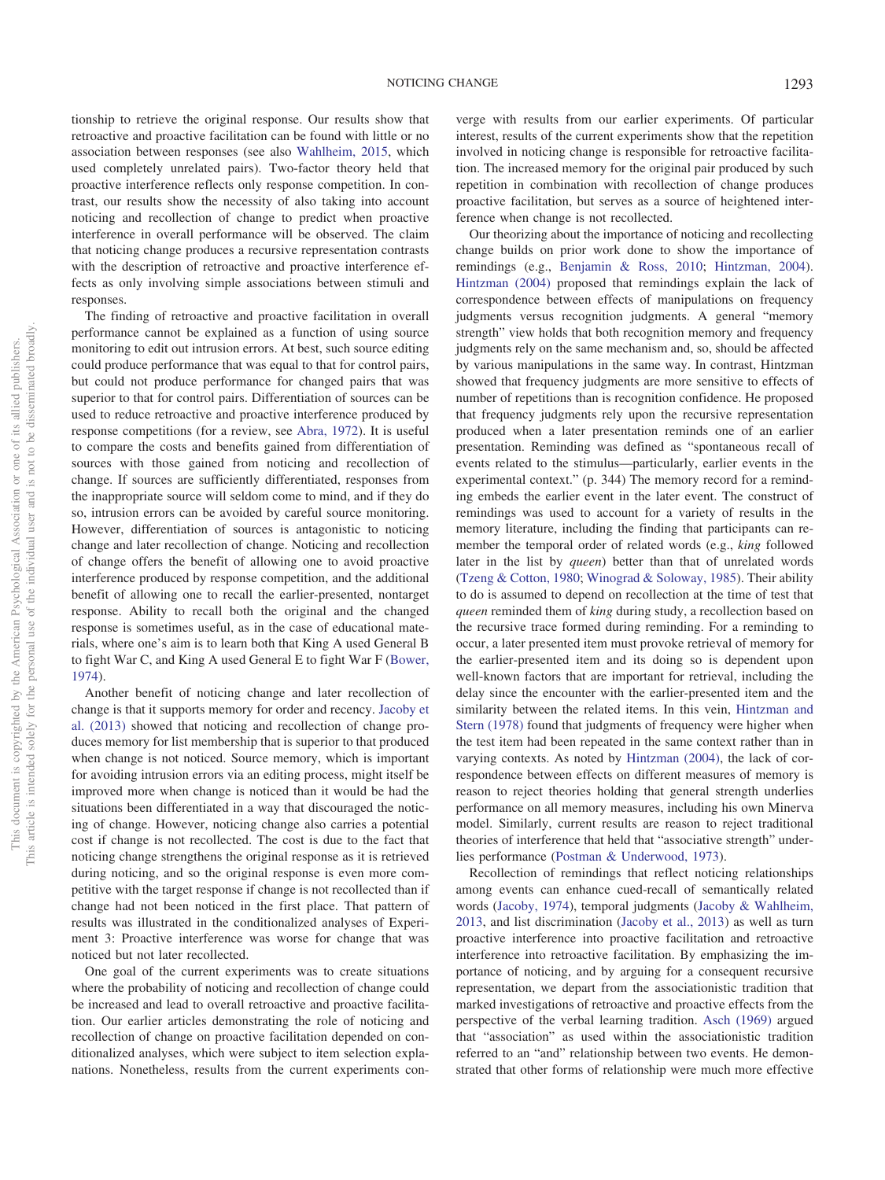tionship to retrieve the original response. Our results show that retroactive and proactive facilitation can be found with little or no association between responses (see also [Wahlheim, 2015,](#page-15-18) which used completely unrelated pairs). Two-factor theory held that proactive interference reflects only response competition. In contrast, our results show the necessity of also taking into account noticing and recollection of change to predict when proactive interference in overall performance will be observed. The claim that noticing change produces a recursive representation contrasts with the description of retroactive and proactive interference effects as only involving simple associations between stimuli and responses.

The finding of retroactive and proactive facilitation in overall performance cannot be explained as a function of using source monitoring to edit out intrusion errors. At best, such source editing could produce performance that was equal to that for control pairs, but could not produce performance for changed pairs that was superior to that for control pairs. Differentiation of sources can be used to reduce retroactive and proactive interference produced by response competitions (for a review, see [Abra, 1972\)](#page-14-3). It is useful to compare the costs and benefits gained from differentiation of sources with those gained from noticing and recollection of change. If sources are sufficiently differentiated, responses from the inappropriate source will seldom come to mind, and if they do so, intrusion errors can be avoided by careful source monitoring. However, differentiation of sources is antagonistic to noticing change and later recollection of change. Noticing and recollection of change offers the benefit of allowing one to avoid proactive interference produced by response competition, and the additional benefit of allowing one to recall the earlier-presented, nontarget response. Ability to recall both the original and the changed response is sometimes useful, as in the case of educational materials, where one's aim is to learn both that King A used General B to fight War C, and King A used General E to fight War F [\(Bower,](#page-14-0) [1974\)](#page-14-0).

Another benefit of noticing change and later recollection of change is that it supports memory for order and recency. [Jacoby et](#page-14-13) [al. \(2013\)](#page-14-13) showed that noticing and recollection of change produces memory for list membership that is superior to that produced when change is not noticed. Source memory, which is important for avoiding intrusion errors via an editing process, might itself be improved more when change is noticed than it would be had the situations been differentiated in a way that discouraged the noticing of change. However, noticing change also carries a potential cost if change is not recollected. The cost is due to the fact that noticing change strengthens the original response as it is retrieved during noticing, and so the original response is even more competitive with the target response if change is not recollected than if change had not been noticed in the first place. That pattern of results was illustrated in the conditionalized analyses of Experiment 3: Proactive interference was worse for change that was noticed but not later recollected.

One goal of the current experiments was to create situations where the probability of noticing and recollection of change could be increased and lead to overall retroactive and proactive facilitation. Our earlier articles demonstrating the role of noticing and recollection of change on proactive facilitation depended on conditionalized analyses, which were subject to item selection explanations. Nonetheless, results from the current experiments converge with results from our earlier experiments. Of particular interest, results of the current experiments show that the repetition involved in noticing change is responsible for retroactive facilitation. The increased memory for the original pair produced by such repetition in combination with recollection of change produces proactive facilitation, but serves as a source of heightened interference when change is not recollected.

Our theorizing about the importance of noticing and recollecting change builds on prior work done to show the importance of remindings (e.g., [Benjamin & Ross, 2010;](#page-14-15) [Hintzman, 2004\)](#page-14-17). [Hintzman \(2004\)](#page-14-17) proposed that remindings explain the lack of correspondence between effects of manipulations on frequency judgments versus recognition judgments. A general "memory strength" view holds that both recognition memory and frequency judgments rely on the same mechanism and, so, should be affected by various manipulations in the same way. In contrast, Hintzman showed that frequency judgments are more sensitive to effects of number of repetitions than is recognition confidence. He proposed that frequency judgments rely upon the recursive representation produced when a later presentation reminds one of an earlier presentation. Reminding was defined as "spontaneous recall of events related to the stimulus—particularly, earlier events in the experimental context." (p. 344) The memory record for a reminding embeds the earlier event in the later event. The construct of remindings was used to account for a variety of results in the memory literature, including the finding that participants can remember the temporal order of related words (e.g., *king* followed later in the list by *queen*) better than that of unrelated words [\(Tzeng & Cotton, 1980;](#page-15-19) [Winograd & Soloway, 1985\)](#page-15-20). Their ability to do is assumed to depend on recollection at the time of test that *queen* reminded them of *king* during study, a recollection based on the recursive trace formed during reminding. For a reminding to occur, a later presented item must provoke retrieval of memory for the earlier-presented item and its doing so is dependent upon well-known factors that are important for retrieval, including the delay since the encounter with the earlier-presented item and the similarity between the related items. In this vein, [Hintzman and](#page-14-18) [Stern \(1978\)](#page-14-18) found that judgments of frequency were higher when the test item had been repeated in the same context rather than in varying contexts. As noted by [Hintzman \(2004\),](#page-14-17) the lack of correspondence between effects on different measures of memory is reason to reject theories holding that general strength underlies performance on all memory measures, including his own Minerva model. Similarly, current results are reason to reject traditional theories of interference that held that "associative strength" underlies performance [\(Postman & Underwood, 1973\)](#page-15-2).

Recollection of remindings that reflect noticing relationships among events can enhance cued-recall of semantically related words [\(Jacoby, 1974\)](#page-14-6), temporal judgments [\(Jacoby & Wahlheim,](#page-14-7) [2013,](#page-14-7) and list discrimination [\(Jacoby et al., 2013\)](#page-14-13) as well as turn proactive interference into proactive facilitation and retroactive interference into retroactive facilitation. By emphasizing the importance of noticing, and by arguing for a consequent recursive representation, we depart from the associationistic tradition that marked investigations of retroactive and proactive effects from the perspective of the verbal learning tradition. [Asch \(1969\)](#page-14-19) argued that "association" as used within the associationistic tradition referred to an "and" relationship between two events. He demonstrated that other forms of relationship were much more effective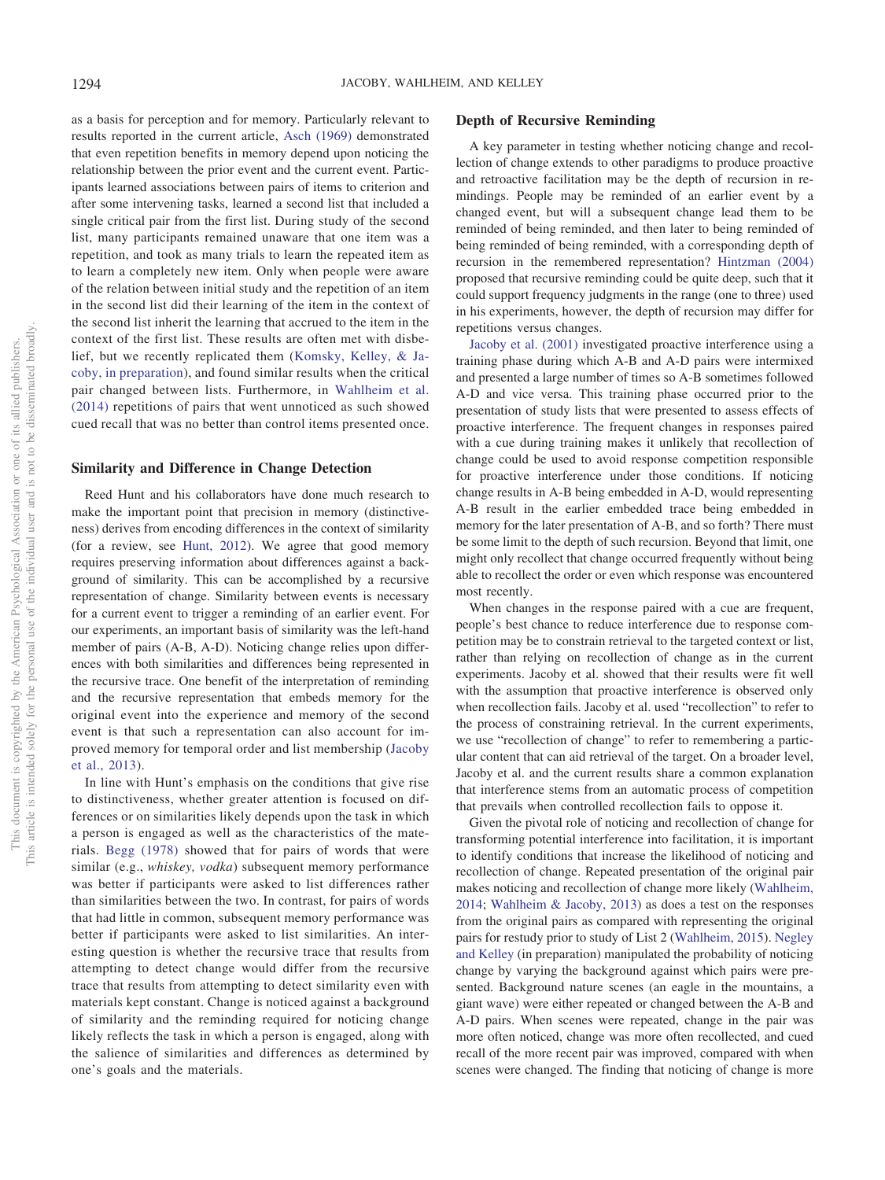as a basis for perception and for memory. Particularly relevant to results reported in the current article, [Asch \(1969\)](#page-14-19) demonstrated that even repetition benefits in memory depend upon noticing the relationship between the prior event and the current event. Participants learned associations between pairs of items to criterion and after some intervening tasks, learned a second list that included a single critical pair from the first list. During study of the second list, many participants remained unaware that one item was a repetition, and took as many trials to learn the repeated item as to learn a completely new item. Only when people were aware of the relation between initial study and the repetition of an item in the second list did their learning of the item in the context of the second list inherit the learning that accrued to the item in the context of the first list. These results are often met with disbelief, but we recently replicated them [\(Komsky, Kelley, & Ja](#page-15-21)[coby, in preparation\)](#page-15-21), and found similar results when the critical pair changed between lists. Furthermore, in [Wahlheim et al.](#page-15-7) [\(2014\)](#page-15-7) repetitions of pairs that went unnoticed as such showed cued recall that was no better than control items presented once.

## **Similarity and Difference in Change Detection**

Reed Hunt and his collaborators have done much research to make the important point that precision in memory (distinctiveness) derives from encoding differences in the context of similarity (for a review, see [Hunt, 2012\)](#page-14-20). We agree that good memory requires preserving information about differences against a background of similarity. This can be accomplished by a recursive representation of change. Similarity between events is necessary for a current event to trigger a reminding of an earlier event. For our experiments, an important basis of similarity was the left-hand member of pairs (A-B, A-D). Noticing change relies upon differences with both similarities and differences being represented in the recursive trace. One benefit of the interpretation of reminding and the recursive representation that embeds memory for the original event into the experience and memory of the second event is that such a representation can also account for improved memory for temporal order and list membership [\(Jacoby](#page-14-13) [et al., 2013\)](#page-14-13).

In line with Hunt's emphasis on the conditions that give rise to distinctiveness, whether greater attention is focused on differences or on similarities likely depends upon the task in which a person is engaged as well as the characteristics of the materials. [Begg \(1978\)](#page-14-21) showed that for pairs of words that were similar (e.g., *whiskey, vodka*) subsequent memory performance was better if participants were asked to list differences rather than similarities between the two. In contrast, for pairs of words that had little in common, subsequent memory performance was better if participants were asked to list similarities. An interesting question is whether the recursive trace that results from attempting to detect change would differ from the recursive trace that results from attempting to detect similarity even with materials kept constant. Change is noticed against a background of similarity and the reminding required for noticing change likely reflects the task in which a person is engaged, along with the salience of similarities and differences as determined by one's goals and the materials.

## **Depth of Recursive Reminding**

A key parameter in testing whether noticing change and recollection of change extends to other paradigms to produce proactive and retroactive facilitation may be the depth of recursion in remindings. People may be reminded of an earlier event by a changed event, but will a subsequent change lead them to be reminded of being reminded, and then later to being reminded of being reminded of being reminded, with a corresponding depth of recursion in the remembered representation? [Hintzman \(2004\)](#page-14-17) proposed that recursive reminding could be quite deep, such that it could support frequency judgments in the range (one to three) used in his experiments, however, the depth of recursion may differ for repetitions versus changes.

[Jacoby et al. \(2001\)](#page-14-22) investigated proactive interference using a training phase during which A-B and A-D pairs were intermixed and presented a large number of times so A-B sometimes followed A-D and vice versa. This training phase occurred prior to the presentation of study lists that were presented to assess effects of proactive interference. The frequent changes in responses paired with a cue during training makes it unlikely that recollection of change could be used to avoid response competition responsible for proactive interference under those conditions. If noticing change results in A-B being embedded in A-D, would representing A-B result in the earlier embedded trace being embedded in memory for the later presentation of A-B, and so forth? There must be some limit to the depth of such recursion. Beyond that limit, one might only recollect that change occurred frequently without being able to recollect the order or even which response was encountered most recently.

When changes in the response paired with a cue are frequent, people's best chance to reduce interference due to response competition may be to constrain retrieval to the targeted context or list, rather than relying on recollection of change as in the current experiments. Jacoby et al. showed that their results were fit well with the assumption that proactive interference is observed only when recollection fails. Jacoby et al. used "recollection" to refer to the process of constraining retrieval. In the current experiments, we use "recollection of change" to refer to remembering a particular content that can aid retrieval of the target. On a broader level, Jacoby et al. and the current results share a common explanation that interference stems from an automatic process of competition that prevails when controlled recollection fails to oppose it.

Given the pivotal role of noticing and recollection of change for transforming potential interference into facilitation, it is important to identify conditions that increase the likelihood of noticing and recollection of change. Repeated presentation of the original pair makes noticing and recollection of change more likely [\(Wahlheim,](#page-15-17) [2014;](#page-15-17) [Wahlheim & Jacoby, 2013\)](#page-15-8) as does a test on the responses from the original pairs as compared with representing the original pairs for restudy prior to study of List 2 [\(Wahlheim, 2015\)](#page-15-18). [Negley](#page-15-22) [and Kelley](#page-15-22) (in preparation) manipulated the probability of noticing change by varying the background against which pairs were presented. Background nature scenes (an eagle in the mountains, a giant wave) were either repeated or changed between the A-B and A-D pairs. When scenes were repeated, change in the pair was more often noticed, change was more often recollected, and cued recall of the more recent pair was improved, compared with when scenes were changed. The finding that noticing of change is more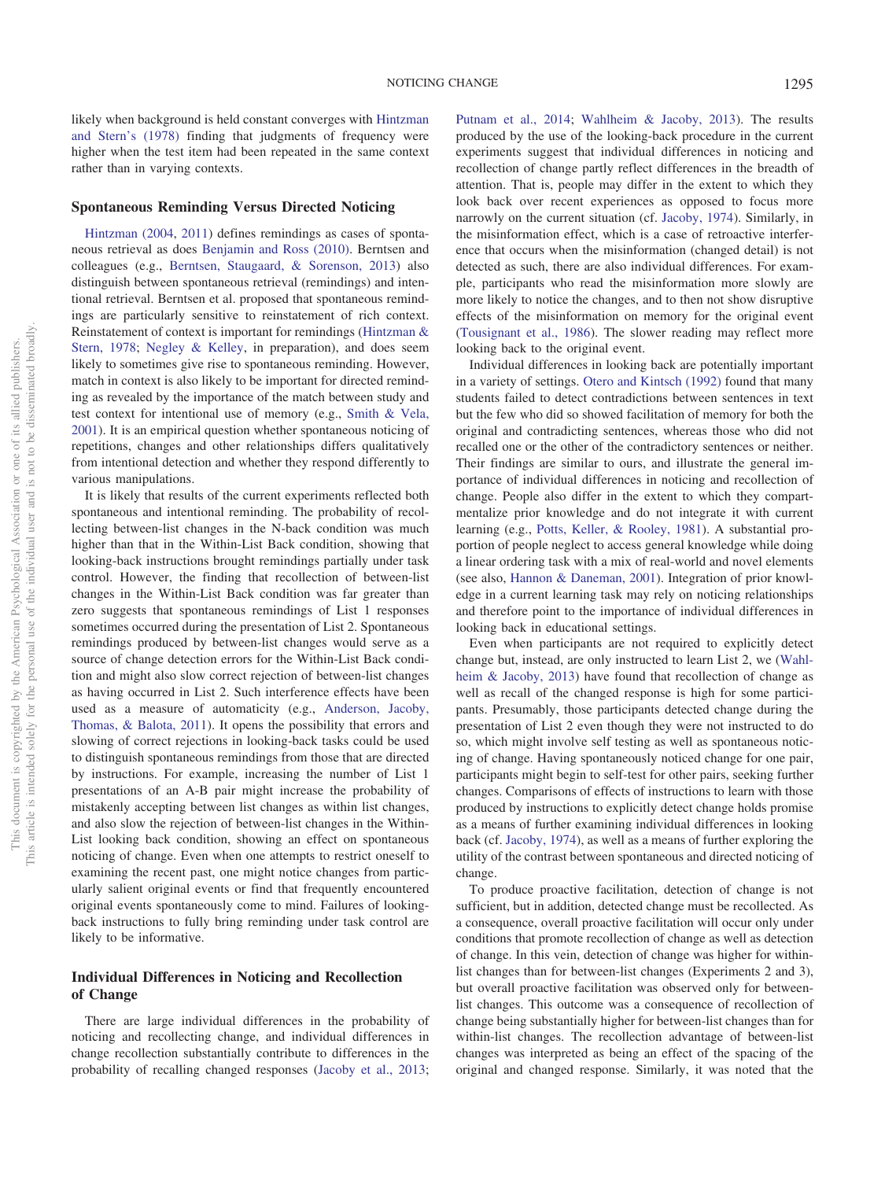likely when background is held constant converges with [Hintzman](#page-14-18) [and Stern's \(1978\)](#page-14-18) finding that judgments of frequency were higher when the test item had been repeated in the same context rather than in varying contexts.

### **Spontaneous Reminding Versus Directed Noticing**

[Hintzman \(2004,](#page-14-17) [2011\)](#page-14-14) defines remindings as cases of spontaneous retrieval as does [Benjamin and Ross \(2010\).](#page-14-15) Berntsen and colleagues (e.g., [Berntsen, Staugaard, & Sorenson, 2013\)](#page-14-23) also distinguish between spontaneous retrieval (remindings) and intentional retrieval. Berntsen et al. proposed that spontaneous remindings are particularly sensitive to reinstatement of rich context. Reinstatement of context is important for remindings [\(Hintzman &](#page-14-18) [Stern, 1978;](#page-14-18) [Negley & Kelley,](#page-15-22) in preparation), and does seem likely to sometimes give rise to spontaneous reminding. However, match in context is also likely to be important for directed reminding as revealed by the importance of the match between study and test context for intentional use of memory (e.g., [Smith & Vela,](#page-15-23) [2001\)](#page-15-23). It is an empirical question whether spontaneous noticing of repetitions, changes and other relationships differs qualitatively from intentional detection and whether they respond differently to various manipulations.

It is likely that results of the current experiments reflected both spontaneous and intentional reminding. The probability of recollecting between-list changes in the N-back condition was much higher than that in the Within-List Back condition, showing that looking-back instructions brought remindings partially under task control. However, the finding that recollection of between-list changes in the Within-List Back condition was far greater than zero suggests that spontaneous remindings of List 1 responses sometimes occurred during the presentation of List 2. Spontaneous remindings produced by between-list changes would serve as a source of change detection errors for the Within-List Back condition and might also slow correct rejection of between-list changes as having occurred in List 2. Such interference effects have been used as a measure of automaticity (e.g., [Anderson, Jacoby,](#page-14-24) [Thomas, & Balota, 2011\)](#page-14-24). It opens the possibility that errors and slowing of correct rejections in looking-back tasks could be used to distinguish spontaneous remindings from those that are directed by instructions. For example, increasing the number of List 1 presentations of an A-B pair might increase the probability of mistakenly accepting between list changes as within list changes, and also slow the rejection of between-list changes in the Within-List looking back condition, showing an effect on spontaneous noticing of change. Even when one attempts to restrict oneself to examining the recent past, one might notice changes from particularly salient original events or find that frequently encountered original events spontaneously come to mind. Failures of lookingback instructions to fully bring reminding under task control are likely to be informative.

## **Individual Differences in Noticing and Recollection of Change**

There are large individual differences in the probability of noticing and recollecting change, and individual differences in change recollection substantially contribute to differences in the probability of recalling changed responses [\(Jacoby et al., 2013;](#page-14-13)

[Putnam et al., 2014;](#page-15-16) [Wahlheim & Jacoby, 2013\)](#page-15-8). The results produced by the use of the looking-back procedure in the current experiments suggest that individual differences in noticing and recollection of change partly reflect differences in the breadth of attention. That is, people may differ in the extent to which they look back over recent experiences as opposed to focus more narrowly on the current situation (cf. [Jacoby, 1974\)](#page-14-6). Similarly, in the misinformation effect, which is a case of retroactive interference that occurs when the misinformation (changed detail) is not detected as such, there are also individual differences. For example, participants who read the misinformation more slowly are more likely to notice the changes, and to then not show disruptive effects of the misinformation on memory for the original event [\(Tousignant et al., 1986\)](#page-15-10). The slower reading may reflect more looking back to the original event.

Individual differences in looking back are potentially important in a variety of settings. [Otero and Kintsch \(1992\)](#page-15-24) found that many students failed to detect contradictions between sentences in text but the few who did so showed facilitation of memory for both the original and contradicting sentences, whereas those who did not recalled one or the other of the contradictory sentences or neither. Their findings are similar to ours, and illustrate the general importance of individual differences in noticing and recollection of change. People also differ in the extent to which they compartmentalize prior knowledge and do not integrate it with current learning (e.g., [Potts, Keller, & Rooley, 1981\)](#page-15-25). A substantial proportion of people neglect to access general knowledge while doing a linear ordering task with a mix of real-world and novel elements (see also, [Hannon & Daneman, 2001\)](#page-14-25). Integration of prior knowledge in a current learning task may rely on noticing relationships and therefore point to the importance of individual differences in looking back in educational settings.

Even when participants are not required to explicitly detect change but, instead, are only instructed to learn List 2, we [\(Wahl](#page-15-8)[heim & Jacoby, 2013\)](#page-15-8) have found that recollection of change as well as recall of the changed response is high for some participants. Presumably, those participants detected change during the presentation of List 2 even though they were not instructed to do so, which might involve self testing as well as spontaneous noticing of change. Having spontaneously noticed change for one pair, participants might begin to self-test for other pairs, seeking further changes. Comparisons of effects of instructions to learn with those produced by instructions to explicitly detect change holds promise as a means of further examining individual differences in looking back (cf. [Jacoby, 1974\)](#page-14-6), as well as a means of further exploring the utility of the contrast between spontaneous and directed noticing of change.

To produce proactive facilitation, detection of change is not sufficient, but in addition, detected change must be recollected. As a consequence, overall proactive facilitation will occur only under conditions that promote recollection of change as well as detection of change. In this vein, detection of change was higher for withinlist changes than for between-list changes (Experiments 2 and 3), but overall proactive facilitation was observed only for betweenlist changes. This outcome was a consequence of recollection of change being substantially higher for between-list changes than for within-list changes. The recollection advantage of between-list changes was interpreted as being an effect of the spacing of the original and changed response. Similarly, it was noted that the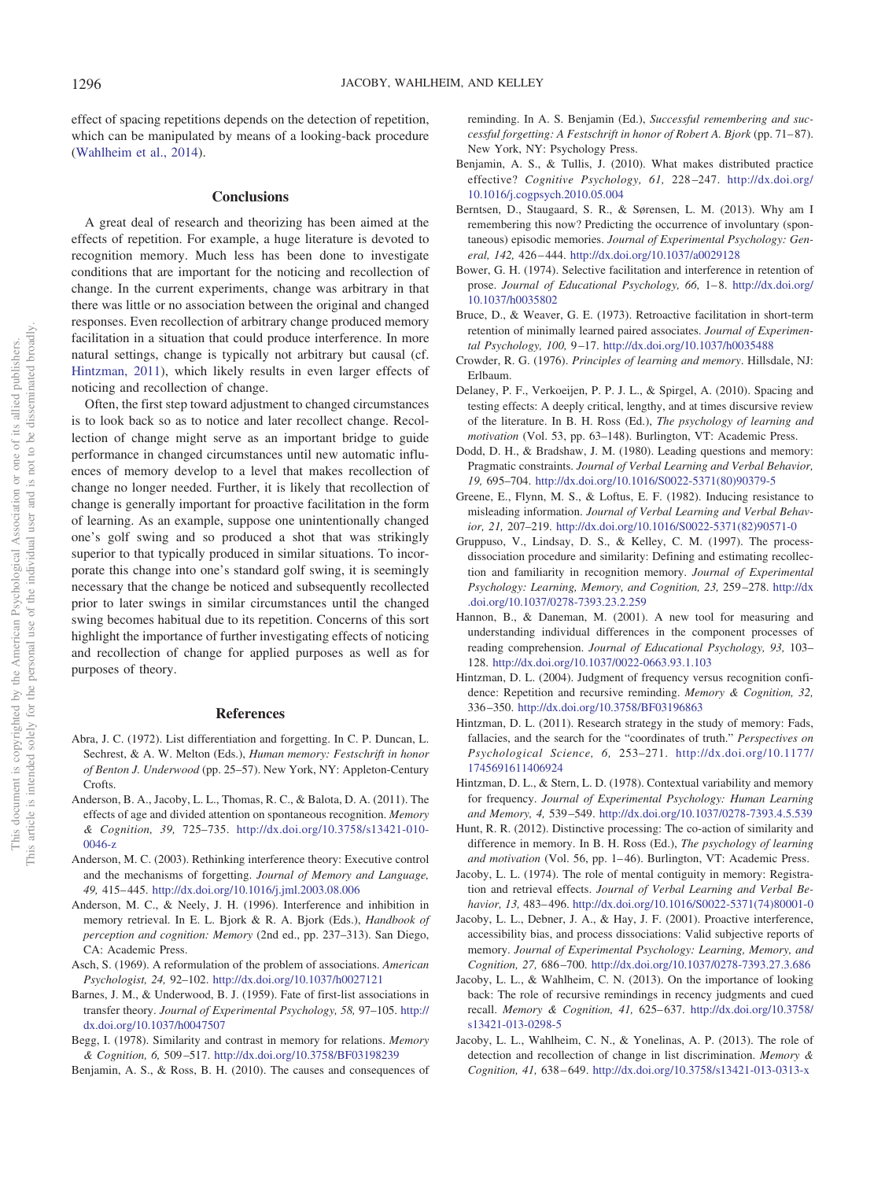effect of spacing repetitions depends on the detection of repetition, which can be manipulated by means of a looking-back procedure [\(Wahlheim et al., 2014\)](#page-15-7).

#### **Conclusions**

A great deal of research and theorizing has been aimed at the effects of repetition. For example, a huge literature is devoted to recognition memory. Much less has been done to investigate conditions that are important for the noticing and recollection of change. In the current experiments, change was arbitrary in that there was little or no association between the original and changed responses. Even recollection of arbitrary change produced memory facilitation in a situation that could produce interference. In more natural settings, change is typically not arbitrary but causal (cf. [Hintzman, 2011\)](#page-14-14), which likely results in even larger effects of noticing and recollection of change.

Often, the first step toward adjustment to changed circumstances is to look back so as to notice and later recollect change. Recollection of change might serve as an important bridge to guide performance in changed circumstances until new automatic influences of memory develop to a level that makes recollection of change no longer needed. Further, it is likely that recollection of change is generally important for proactive facilitation in the form of learning. As an example, suppose one unintentionally changed one's golf swing and so produced a shot that was strikingly superior to that typically produced in similar situations. To incorporate this change into one's standard golf swing, it is seemingly necessary that the change be noticed and subsequently recollected prior to later swings in similar circumstances until the changed swing becomes habitual due to its repetition. Concerns of this sort highlight the importance of further investigating effects of noticing and recollection of change for applied purposes as well as for purposes of theory.

#### **References**

- <span id="page-14-3"></span>Abra, J. C. (1972). List differentiation and forgetting. In C. P. Duncan, L. Sechrest, & A. W. Melton (Eds.), *Human memory: Festschrift in honor of Benton J. Underwood* (pp. 25–57). New York, NY: Appleton-Century Crofts.
- <span id="page-14-24"></span>Anderson, B. A., Jacoby, L. L., Thomas, R. C., & Balota, D. A. (2011). The effects of age and divided attention on spontaneous recognition. *Memory & Cognition, 39,* 725–735. [http://dx.doi.org/10.3758/s13421-010-](http://dx.doi.org/10.3758/s13421-010-0046-z) [0046-z](http://dx.doi.org/10.3758/s13421-010-0046-z)
- <span id="page-14-11"></span>Anderson, M. C. (2003). Rethinking interference theory: Executive control and the mechanisms of forgetting. *Journal of Memory and Language, 49,* 415– 445. <http://dx.doi.org/10.1016/j.jml.2003.08.006>
- <span id="page-14-1"></span>Anderson, M. C., & Neely, J. H. (1996). Interference and inhibition in memory retrieval. In E. L. Bjork & R. A. Bjork (Eds.), *Handbook of perception and cognition: Memory* (2nd ed., pp. 237–313). San Diego, CA: Academic Press.
- <span id="page-14-19"></span>Asch, S. (1969). A reformulation of the problem of associations. *American Psychologist, 24,* 92–102. <http://dx.doi.org/10.1037/h0027121>
- <span id="page-14-4"></span>Barnes, J. M., & Underwood, B. J. (1959). Fate of first-list associations in transfer theory. *Journal of Experimental Psychology, 58,* 97–105. [http://](http://dx.doi.org/10.1037/h0047507) [dx.doi.org/10.1037/h0047507](http://dx.doi.org/10.1037/h0047507)
- <span id="page-14-21"></span>Begg, I. (1978). Similarity and contrast in memory for relations. *Memory & Cognition, 6,* 509 –517. <http://dx.doi.org/10.3758/BF03198239>
- <span id="page-14-15"></span>Benjamin, A. S., & Ross, B. H. (2010). The causes and consequences of

reminding. In A. S. Benjamin (Ed.), *Successful remembering and successful forgetting: A Festschrift in honor of Robert A. Bjork* (pp. 71– 87). New York, NY: Psychology Press.

- <span id="page-14-16"></span>Benjamin, A. S., & Tullis, J. (2010). What makes distributed practice effective? *Cognitive Psychology, 61,* 228 –247. [http://dx.doi.org/](http://dx.doi.org/10.1016/j.cogpsych.2010.05.004) [10.1016/j.cogpsych.2010.05.004](http://dx.doi.org/10.1016/j.cogpsych.2010.05.004)
- <span id="page-14-23"></span>Berntsen, D., Staugaard, S. R., & Sørensen, L. M. (2013). Why am I remembering this now? Predicting the occurrence of involuntary (spontaneous) episodic memories. *Journal of Experimental Psychology: General, 142,* 426 – 444. <http://dx.doi.org/10.1037/a0029128>
- <span id="page-14-0"></span>Bower, G. H. (1974). Selective facilitation and interference in retention of prose. *Journal of Educational Psychology, 66,* 1– 8. [http://dx.doi.org/](http://dx.doi.org/10.1037/h0035802) [10.1037/h0035802](http://dx.doi.org/10.1037/h0035802)
- <span id="page-14-5"></span>Bruce, D., & Weaver, G. E. (1973). Retroactive facilitation in short-term retention of minimally learned paired associates. *Journal of Experimental Psychology, 100,* 9 –17. <http://dx.doi.org/10.1037/h0035488>
- <span id="page-14-2"></span>Crowder, R. G. (1976). *Principles of learning and memory*. Hillsdale, NJ: Erlbaum.
- <span id="page-14-8"></span>Delaney, P. F., Verkoeijen, P. P. J. L., & Spirgel, A. (2010). Spacing and testing effects: A deeply critical, lengthy, and at times discursive review of the literature. In B. H. Ross (Ed.), *The psychology of learning and motivation* (Vol. 53, pp. 63–148). Burlington, VT: Academic Press.
- <span id="page-14-10"></span>Dodd, D. H., & Bradshaw, J. M. (1980). Leading questions and memory: Pragmatic constraints. *Journal of Verbal Learning and Verbal Behavior, 19,* 695–704. [http://dx.doi.org/10.1016/S0022-5371\(80\)90379-5](http://dx.doi.org/10.1016/S0022-5371%2880%2990379-5)
- <span id="page-14-9"></span>Greene, E., Flynn, M. S., & Loftus, E. F. (1982). Inducing resistance to misleading information. *Journal of Verbal Learning and Verbal Behavior, 21,* 207–219. [http://dx.doi.org/10.1016/S0022-5371\(82\)90571-0](http://dx.doi.org/10.1016/S0022-5371%2882%2990571-0)
- <span id="page-14-12"></span>Gruppuso, V., Lindsay, D. S., & Kelley, C. M. (1997). The processdissociation procedure and similarity: Defining and estimating recollection and familiarity in recognition memory. *Journal of Experimental Psychology: Learning, Memory, and Cognition, 23,* 259 –278. [http://dx](http://dx.doi.org/10.1037/0278-7393.23.2.259) [.doi.org/10.1037/0278-7393.23.2.259](http://dx.doi.org/10.1037/0278-7393.23.2.259)
- <span id="page-14-25"></span>Hannon, B., & Daneman, M. (2001). A new tool for measuring and understanding individual differences in the component processes of reading comprehension. *Journal of Educational Psychology, 93,* 103– 128. <http://dx.doi.org/10.1037/0022-0663.93.1.103>
- <span id="page-14-17"></span>Hintzman, D. L. (2004). Judgment of frequency versus recognition confidence: Repetition and recursive reminding. *Memory & Cognition, 32,* 336 –350. <http://dx.doi.org/10.3758/BF03196863>
- <span id="page-14-14"></span>Hintzman, D. L. (2011). Research strategy in the study of memory: Fads, fallacies, and the search for the "coordinates of truth." *Perspectives on Psychological Science, 6,* 253–271. [http://dx.doi.org/10.1177/](http://dx.doi.org/10.1177/1745691611406924) [1745691611406924](http://dx.doi.org/10.1177/1745691611406924)
- <span id="page-14-18"></span>Hintzman, D. L., & Stern, L. D. (1978). Contextual variability and memory for frequency. *Journal of Experimental Psychology: Human Learning and Memory, 4,* 539 –549. <http://dx.doi.org/10.1037/0278-7393.4.5.539>
- <span id="page-14-20"></span>Hunt, R. R. (2012). Distinctive processing: The co-action of similarity and difference in memory. In B. H. Ross (Ed.), *The psychology of learning* and motivation (Vol. 56, pp. 1-46). Burlington, VT: Academic Press.
- <span id="page-14-6"></span>Jacoby, L. L. (1974). The role of mental contiguity in memory: Registration and retrieval effects. *Journal of Verbal Learning and Verbal Behavior, 13,* 483– 496. [http://dx.doi.org/10.1016/S0022-5371\(74\)80001-0](http://dx.doi.org/10.1016/S0022-5371%2874%2980001-0)
- <span id="page-14-22"></span>Jacoby, L. L., Debner, J. A., & Hay, J. F. (2001). Proactive interference, accessibility bias, and process dissociations: Valid subjective reports of memory. *Journal of Experimental Psychology: Learning, Memory, and Cognition, 27,* 686 –700. <http://dx.doi.org/10.1037/0278-7393.27.3.686>
- <span id="page-14-7"></span>Jacoby, L. L., & Wahlheim, C. N. (2013). On the importance of looking back: The role of recursive remindings in recency judgments and cued recall. *Memory & Cognition, 41,* 625– 637. [http://dx.doi.org/10.3758/](http://dx.doi.org/10.3758/s13421-013-0298-5) [s13421-013-0298-5](http://dx.doi.org/10.3758/s13421-013-0298-5)
- <span id="page-14-13"></span>Jacoby, L. L., Wahlheim, C. N., & Yonelinas, A. P. (2013). The role of detection and recollection of change in list discrimination. *Memory & Cognition, 41,* 638 – 649. <http://dx.doi.org/10.3758/s13421-013-0313-x>